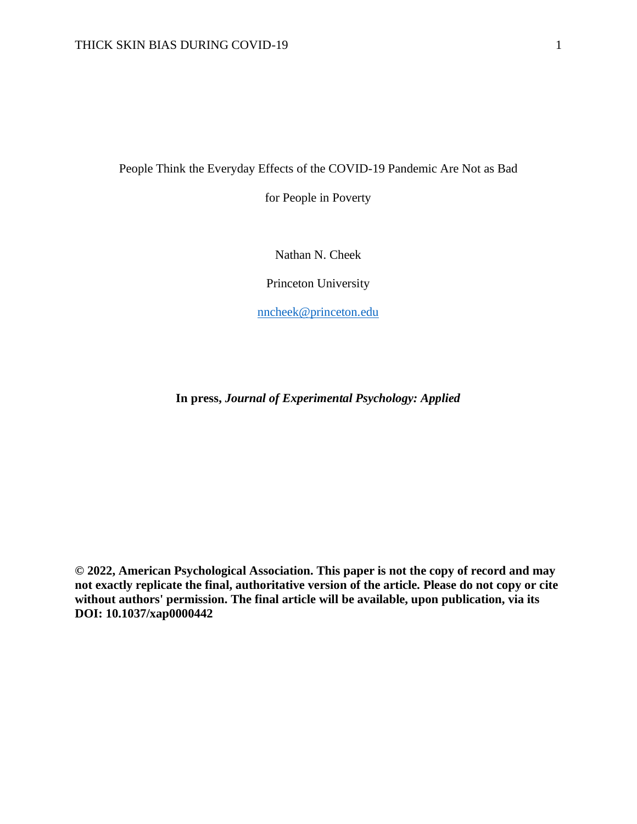People Think the Everyday Effects of the COVID-19 Pandemic Are Not as Bad

for People in Poverty

Nathan N. Cheek

Princeton University

[nncheek@princeton.edu](mailto:nncheek@princeton.edu)

**In press,** *Journal of Experimental Psychology: Applied*

**© 2022, American Psychological Association. This paper is not the copy of record and may not exactly replicate the final, authoritative version of the article. Please do not copy or cite without authors' permission. The final article will be available, upon publication, via its DOI: 10.1037/xap0000442**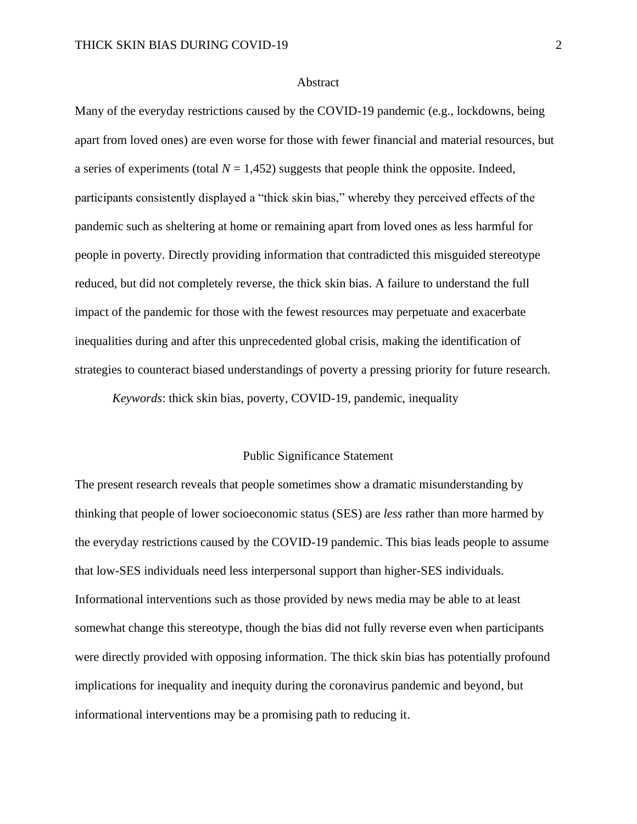#### **Abstract**

Many of the everyday restrictions caused by the COVID-19 pandemic (e.g., lockdowns, being apart from loved ones) are even worse for those with fewer financial and material resources, but a series of experiments (total  $N = 1,452$ ) suggests that people think the opposite. Indeed, participants consistently displayed a "thick skin bias," whereby they perceived effects of the pandemic such as sheltering at home or remaining apart from loved ones as less harmful for people in poverty. Directly providing information that contradicted this misguided stereotype reduced, but did not completely reverse, the thick skin bias. A failure to understand the full impact of the pandemic for those with the fewest resources may perpetuate and exacerbate inequalities during and after this unprecedented global crisis, making the identification of strategies to counteract biased understandings of poverty a pressing priority for future research.

*Keywords*: thick skin bias, poverty, COVID-19, pandemic, inequality

### Public Significance Statement

The present research reveals that people sometimes show a dramatic misunderstanding by thinking that people of lower socioeconomic status (SES) are *less* rather than more harmed by the everyday restrictions caused by the COVID-19 pandemic. This bias leads people to assume that low-SES individuals need less interpersonal support than higher-SES individuals. Informational interventions such as those provided by news media may be able to at least somewhat change this stereotype, though the bias did not fully reverse even when participants were directly provided with opposing information. The thick skin bias has potentially profound implications for inequality and inequity during the coronavirus pandemic and beyond, but informational interventions may be a promising path to reducing it.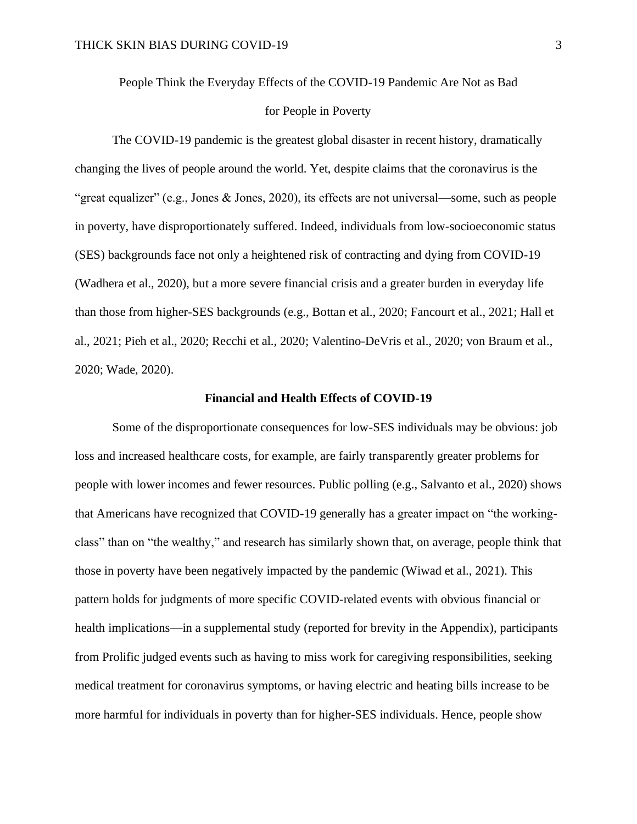People Think the Everyday Effects of the COVID-19 Pandemic Are Not as Bad

### for People in Poverty

The COVID-19 pandemic is the greatest global disaster in recent history, dramatically changing the lives of people around the world. Yet, despite claims that the coronavirus is the "great equalizer" (e.g., Jones & Jones, 2020), its effects are not universal—some, such as people in poverty, have disproportionately suffered. Indeed, individuals from low-socioeconomic status (SES) backgrounds face not only a heightened risk of contracting and dying from COVID-19 (Wadhera et al., 2020), but a more severe financial crisis and a greater burden in everyday life than those from higher-SES backgrounds (e.g., Bottan et al., 2020; Fancourt et al., 2021; Hall et al., 2021; Pieh et al., 2020; Recchi et al., 2020; Valentino-DeVris et al., 2020; von Braum et al., 2020; Wade, 2020).

#### **Financial and Health Effects of COVID-19**

Some of the disproportionate consequences for low-SES individuals may be obvious: job loss and increased healthcare costs, for example, are fairly transparently greater problems for people with lower incomes and fewer resources. Public polling (e.g., Salvanto et al., 2020) shows that Americans have recognized that COVID-19 generally has a greater impact on "the workingclass" than on "the wealthy," and research has similarly shown that, on average, people think that those in poverty have been negatively impacted by the pandemic (Wiwad et al., 2021). This pattern holds for judgments of more specific COVID-related events with obvious financial or health implications—in a supplemental study (reported for brevity in the Appendix), participants from Prolific judged events such as having to miss work for caregiving responsibilities, seeking medical treatment for coronavirus symptoms, or having electric and heating bills increase to be more harmful for individuals in poverty than for higher-SES individuals. Hence, people show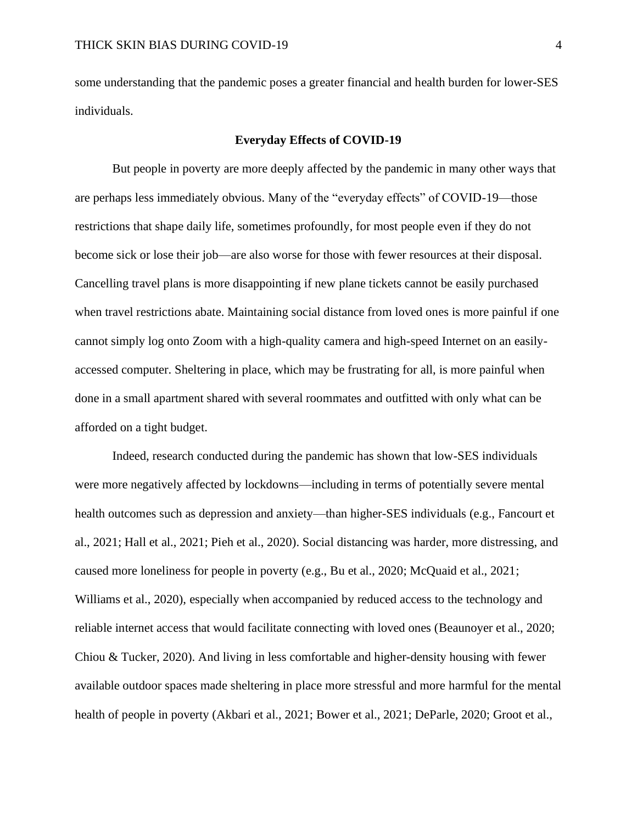some understanding that the pandemic poses a greater financial and health burden for lower-SES individuals.

### **Everyday Effects of COVID-19**

But people in poverty are more deeply affected by the pandemic in many other ways that are perhaps less immediately obvious. Many of the "everyday effects" of COVID-19—those restrictions that shape daily life, sometimes profoundly, for most people even if they do not become sick or lose their job—are also worse for those with fewer resources at their disposal. Cancelling travel plans is more disappointing if new plane tickets cannot be easily purchased when travel restrictions abate. Maintaining social distance from loved ones is more painful if one cannot simply log onto Zoom with a high-quality camera and high-speed Internet on an easilyaccessed computer. Sheltering in place, which may be frustrating for all, is more painful when done in a small apartment shared with several roommates and outfitted with only what can be afforded on a tight budget.

Indeed, research conducted during the pandemic has shown that low-SES individuals were more negatively affected by lockdowns—including in terms of potentially severe mental health outcomes such as depression and anxiety—than higher-SES individuals (e.g., Fancourt et al., 2021; Hall et al., 2021; Pieh et al., 2020). Social distancing was harder, more distressing, and caused more loneliness for people in poverty (e.g., Bu et al., 2020; McQuaid et al., 2021; Williams et al., 2020), especially when accompanied by reduced access to the technology and reliable internet access that would facilitate connecting with loved ones (Beaunoyer et al., 2020; Chiou & Tucker, 2020). And living in less comfortable and higher-density housing with fewer available outdoor spaces made sheltering in place more stressful and more harmful for the mental health of people in poverty (Akbari et al., 2021; Bower et al., 2021; DeParle, 2020; Groot et al.,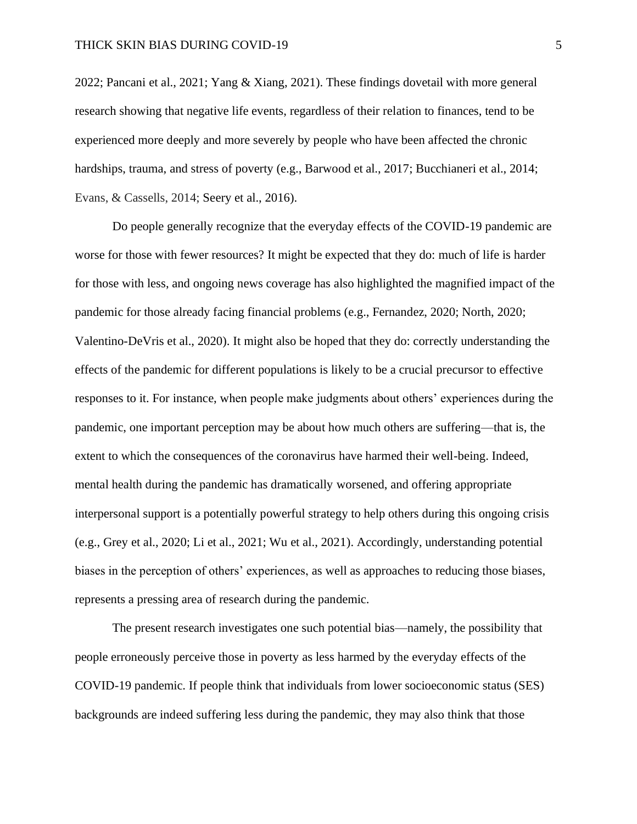2022; Pancani et al., 2021; Yang & Xiang, 2021). These findings dovetail with more general research showing that negative life events, regardless of their relation to finances, tend to be experienced more deeply and more severely by people who have been affected the chronic hardships, trauma, and stress of poverty (e.g., Barwood et al., 2017; Bucchianeri et al., 2014; Evans, & Cassells, 2014; Seery et al., 2016).

Do people generally recognize that the everyday effects of the COVID-19 pandemic are worse for those with fewer resources? It might be expected that they do: much of life is harder for those with less, and ongoing news coverage has also highlighted the magnified impact of the pandemic for those already facing financial problems (e.g., Fernandez, 2020; North, 2020; Valentino-DeVris et al., 2020). It might also be hoped that they do: correctly understanding the effects of the pandemic for different populations is likely to be a crucial precursor to effective responses to it. For instance, when people make judgments about others' experiences during the pandemic, one important perception may be about how much others are suffering—that is, the extent to which the consequences of the coronavirus have harmed their well-being. Indeed, mental health during the pandemic has dramatically worsened, and offering appropriate interpersonal support is a potentially powerful strategy to help others during this ongoing crisis (e.g., Grey et al., 2020; Li et al., 2021; Wu et al., 2021). Accordingly, understanding potential biases in the perception of others' experiences, as well as approaches to reducing those biases, represents a pressing area of research during the pandemic.

The present research investigates one such potential bias—namely, the possibility that people erroneously perceive those in poverty as less harmed by the everyday effects of the COVID-19 pandemic. If people think that individuals from lower socioeconomic status (SES) backgrounds are indeed suffering less during the pandemic, they may also think that those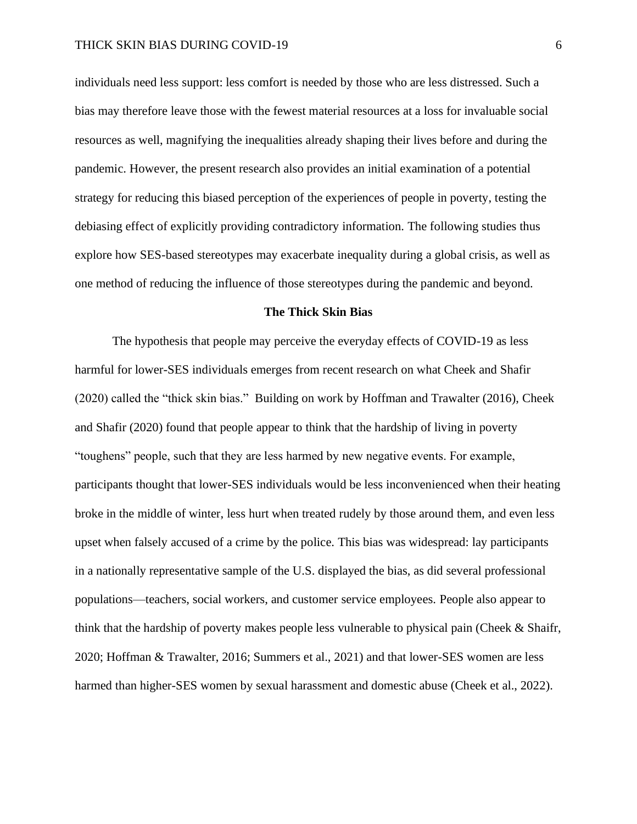individuals need less support: less comfort is needed by those who are less distressed. Such a bias may therefore leave those with the fewest material resources at a loss for invaluable social resources as well, magnifying the inequalities already shaping their lives before and during the pandemic. However, the present research also provides an initial examination of a potential strategy for reducing this biased perception of the experiences of people in poverty, testing the debiasing effect of explicitly providing contradictory information. The following studies thus explore how SES-based stereotypes may exacerbate inequality during a global crisis, as well as one method of reducing the influence of those stereotypes during the pandemic and beyond.

#### **The Thick Skin Bias**

The hypothesis that people may perceive the everyday effects of COVID-19 as less harmful for lower-SES individuals emerges from recent research on what Cheek and Shafir (2020) called the "thick skin bias." Building on work by Hoffman and Trawalter (2016), Cheek and Shafir (2020) found that people appear to think that the hardship of living in poverty "toughens" people, such that they are less harmed by new negative events. For example, participants thought that lower-SES individuals would be less inconvenienced when their heating broke in the middle of winter, less hurt when treated rudely by those around them, and even less upset when falsely accused of a crime by the police. This bias was widespread: lay participants in a nationally representative sample of the U.S. displayed the bias, as did several professional populations—teachers, social workers, and customer service employees. People also appear to think that the hardship of poverty makes people less vulnerable to physical pain (Cheek & Shaifr, 2020; Hoffman & Trawalter, 2016; Summers et al., 2021) and that lower-SES women are less harmed than higher-SES women by sexual harassment and domestic abuse (Cheek et al., 2022).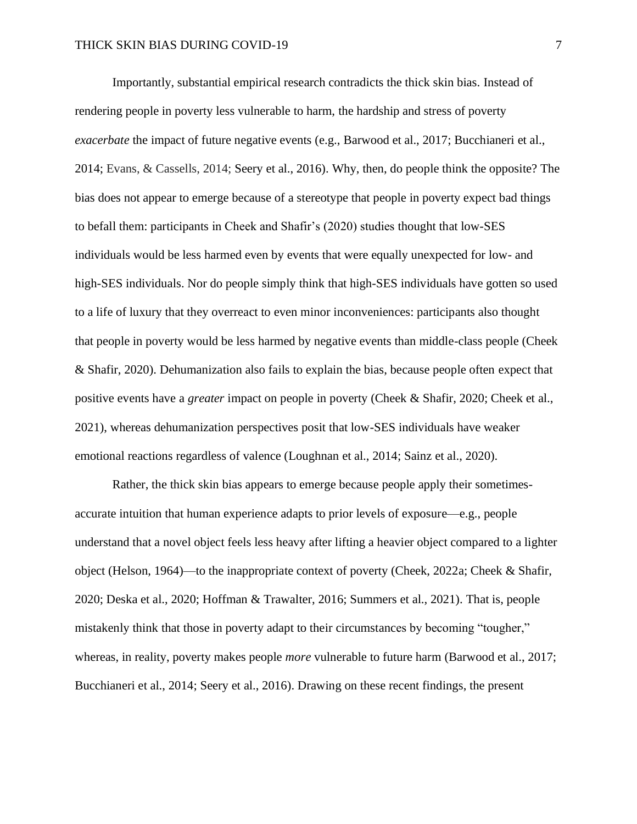Importantly, substantial empirical research contradicts the thick skin bias. Instead of rendering people in poverty less vulnerable to harm, the hardship and stress of poverty *exacerbate* the impact of future negative events (e.g., Barwood et al., 2017; Bucchianeri et al., 2014; Evans, & Cassells, 2014; Seery et al., 2016). Why, then, do people think the opposite? The bias does not appear to emerge because of a stereotype that people in poverty expect bad things to befall them: participants in Cheek and Shafir's (2020) studies thought that low-SES individuals would be less harmed even by events that were equally unexpected for low- and high-SES individuals. Nor do people simply think that high-SES individuals have gotten so used to a life of luxury that they overreact to even minor inconveniences: participants also thought that people in poverty would be less harmed by negative events than middle-class people (Cheek & Shafir, 2020). Dehumanization also fails to explain the bias, because people often expect that positive events have a *greater* impact on people in poverty (Cheek & Shafir, 2020; Cheek et al., 2021), whereas dehumanization perspectives posit that low-SES individuals have weaker emotional reactions regardless of valence (Loughnan et al., 2014; Sainz et al., 2020).

Rather, the thick skin bias appears to emerge because people apply their sometimesaccurate intuition that human experience adapts to prior levels of exposure—e.g., people understand that a novel object feels less heavy after lifting a heavier object compared to a lighter object (Helson, 1964)—to the inappropriate context of poverty (Cheek, 2022a; Cheek & Shafir, 2020; Deska et al., 2020; Hoffman & Trawalter, 2016; Summers et al., 2021). That is, people mistakenly think that those in poverty adapt to their circumstances by becoming "tougher," whereas, in reality, poverty makes people *more* vulnerable to future harm (Barwood et al., 2017; Bucchianeri et al., 2014; Seery et al., 2016). Drawing on these recent findings, the present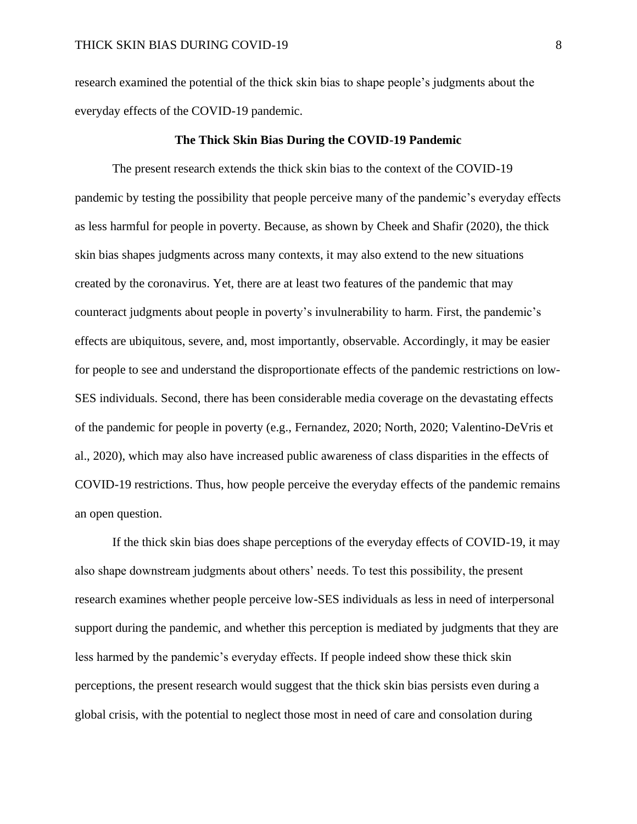research examined the potential of the thick skin bias to shape people's judgments about the everyday effects of the COVID-19 pandemic.

#### **The Thick Skin Bias During the COVID-19 Pandemic**

The present research extends the thick skin bias to the context of the COVID-19 pandemic by testing the possibility that people perceive many of the pandemic's everyday effects as less harmful for people in poverty. Because, as shown by Cheek and Shafir (2020), the thick skin bias shapes judgments across many contexts, it may also extend to the new situations created by the coronavirus. Yet, there are at least two features of the pandemic that may counteract judgments about people in poverty's invulnerability to harm. First, the pandemic's effects are ubiquitous, severe, and, most importantly, observable. Accordingly, it may be easier for people to see and understand the disproportionate effects of the pandemic restrictions on low-SES individuals. Second, there has been considerable media coverage on the devastating effects of the pandemic for people in poverty (e.g., Fernandez, 2020; North, 2020; Valentino-DeVris et al., 2020), which may also have increased public awareness of class disparities in the effects of COVID-19 restrictions. Thus, how people perceive the everyday effects of the pandemic remains an open question.

If the thick skin bias does shape perceptions of the everyday effects of COVID-19, it may also shape downstream judgments about others' needs. To test this possibility, the present research examines whether people perceive low-SES individuals as less in need of interpersonal support during the pandemic, and whether this perception is mediated by judgments that they are less harmed by the pandemic's everyday effects. If people indeed show these thick skin perceptions, the present research would suggest that the thick skin bias persists even during a global crisis, with the potential to neglect those most in need of care and consolation during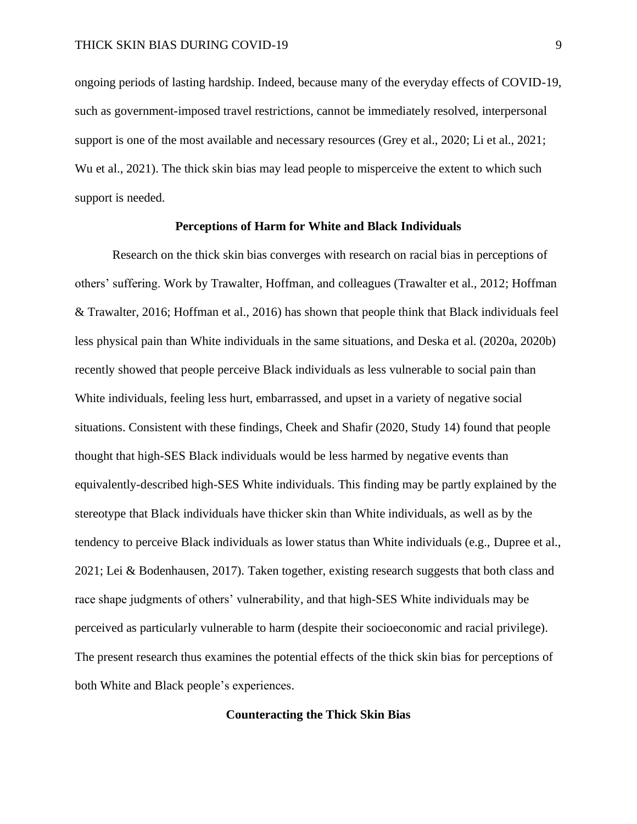ongoing periods of lasting hardship. Indeed, because many of the everyday effects of COVID-19, such as government-imposed travel restrictions, cannot be immediately resolved, interpersonal support is one of the most available and necessary resources (Grey et al., 2020; Li et al., 2021; Wu et al., 2021). The thick skin bias may lead people to misperceive the extent to which such support is needed.

### **Perceptions of Harm for White and Black Individuals**

Research on the thick skin bias converges with research on racial bias in perceptions of others' suffering. Work by Trawalter, Hoffman, and colleagues (Trawalter et al., 2012; Hoffman & Trawalter, 2016; Hoffman et al., 2016) has shown that people think that Black individuals feel less physical pain than White individuals in the same situations, and Deska et al. (2020a, 2020b) recently showed that people perceive Black individuals as less vulnerable to social pain than White individuals, feeling less hurt, embarrassed, and upset in a variety of negative social situations. Consistent with these findings, Cheek and Shafir (2020, Study 14) found that people thought that high-SES Black individuals would be less harmed by negative events than equivalently-described high-SES White individuals. This finding may be partly explained by the stereotype that Black individuals have thicker skin than White individuals, as well as by the tendency to perceive Black individuals as lower status than White individuals (e.g., Dupree et al., 2021; Lei & Bodenhausen, 2017). Taken together, existing research suggests that both class and race shape judgments of others' vulnerability, and that high-SES White individuals may be perceived as particularly vulnerable to harm (despite their socioeconomic and racial privilege). The present research thus examines the potential effects of the thick skin bias for perceptions of both White and Black people's experiences.

### **Counteracting the Thick Skin Bias**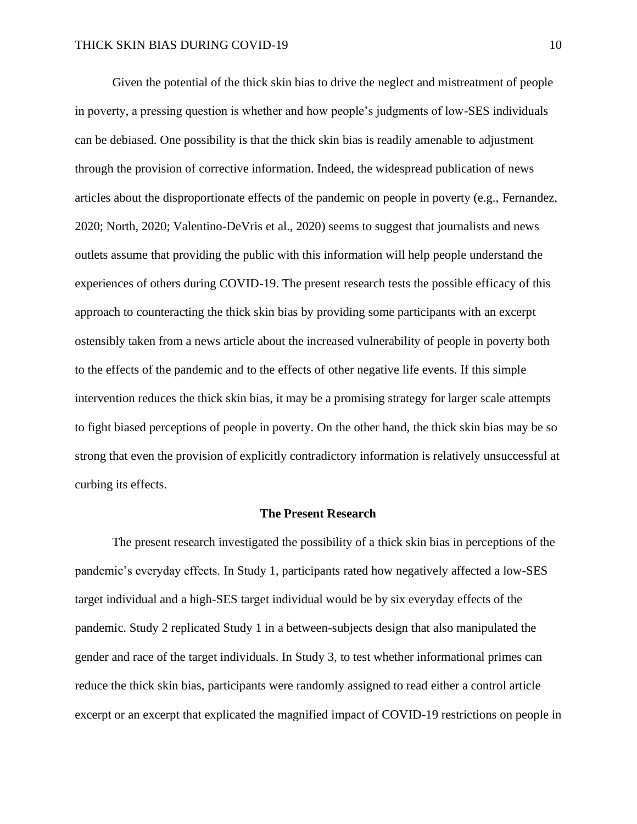Given the potential of the thick skin bias to drive the neglect and mistreatment of people in poverty, a pressing question is whether and how people's judgments of low-SES individuals can be debiased. One possibility is that the thick skin bias is readily amenable to adjustment through the provision of corrective information. Indeed, the widespread publication of news articles about the disproportionate effects of the pandemic on people in poverty (e.g., Fernandez, 2020; North, 2020; Valentino-DeVris et al., 2020) seems to suggest that journalists and news outlets assume that providing the public with this information will help people understand the experiences of others during COVID-19. The present research tests the possible efficacy of this approach to counteracting the thick skin bias by providing some participants with an excerpt ostensibly taken from a news article about the increased vulnerability of people in poverty both to the effects of the pandemic and to the effects of other negative life events. If this simple intervention reduces the thick skin bias, it may be a promising strategy for larger scale attempts to fight biased perceptions of people in poverty. On the other hand, the thick skin bias may be so strong that even the provision of explicitly contradictory information is relatively unsuccessful at curbing its effects.

#### **The Present Research**

The present research investigated the possibility of a thick skin bias in perceptions of the pandemic's everyday effects. In Study 1, participants rated how negatively affected a low-SES target individual and a high-SES target individual would be by six everyday effects of the pandemic. Study 2 replicated Study 1 in a between-subjects design that also manipulated the gender and race of the target individuals. In Study 3, to test whether informational primes can reduce the thick skin bias, participants were randomly assigned to read either a control article excerpt or an excerpt that explicated the magnified impact of COVID-19 restrictions on people in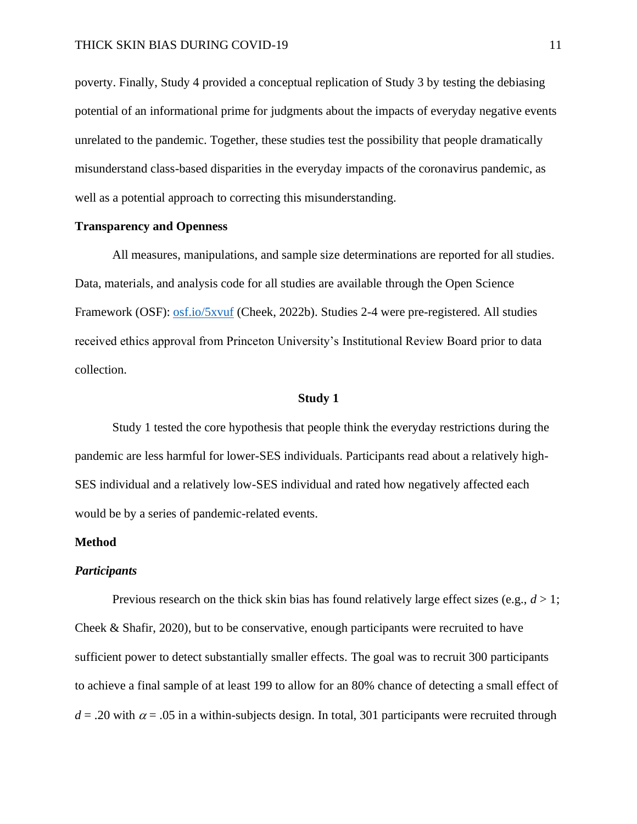poverty. Finally, Study 4 provided a conceptual replication of Study 3 by testing the debiasing potential of an informational prime for judgments about the impacts of everyday negative events unrelated to the pandemic. Together, these studies test the possibility that people dramatically misunderstand class-based disparities in the everyday impacts of the coronavirus pandemic, as well as a potential approach to correcting this misunderstanding.

### **Transparency and Openness**

All measures, manipulations, and sample size determinations are reported for all studies. Data, materials, and analysis code for all studies are available through the Open Science Framework (OSF): [osf.io/5xvuf](https://osf.io/5xvuf/) (Cheek, 2022b). Studies 2-4 were pre-registered. All studies received ethics approval from Princeton University's Institutional Review Board prior to data collection.

#### **Study 1**

Study 1 tested the core hypothesis that people think the everyday restrictions during the pandemic are less harmful for lower-SES individuals. Participants read about a relatively high-SES individual and a relatively low-SES individual and rated how negatively affected each would be by a series of pandemic-related events.

#### **Method**

#### *Participants*

Previous research on the thick skin bias has found relatively large effect sizes (e.g.,  $d > 1$ ; Cheek & Shafir, 2020), but to be conservative, enough participants were recruited to have sufficient power to detect substantially smaller effects. The goal was to recruit 300 participants to achieve a final sample of at least 199 to allow for an 80% chance of detecting a small effect of  $d = 0.20$  with  $\alpha = 0.05$  in a within-subjects design. In total, 301 participants were recruited through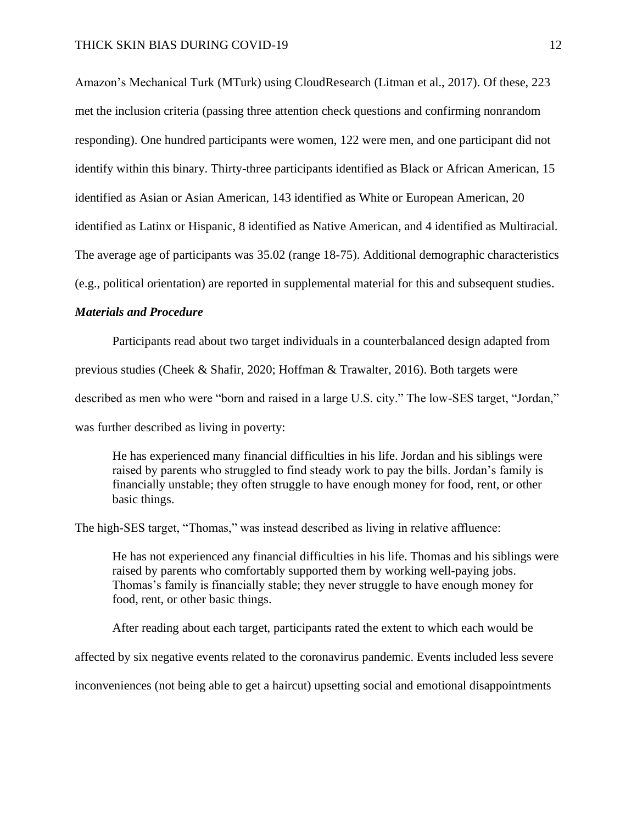Amazon's Mechanical Turk (MTurk) using CloudResearch (Litman et al., 2017). Of these, 223 met the inclusion criteria (passing three attention check questions and confirming nonrandom responding). One hundred participants were women, 122 were men, and one participant did not identify within this binary. Thirty-three participants identified as Black or African American, 15 identified as Asian or Asian American, 143 identified as White or European American, 20 identified as Latinx or Hispanic, 8 identified as Native American, and 4 identified as Multiracial. The average age of participants was 35.02 (range 18-75). Additional demographic characteristics (e.g., political orientation) are reported in supplemental material for this and subsequent studies.

### *Materials and Procedure*

Participants read about two target individuals in a counterbalanced design adapted from previous studies (Cheek & Shafir, 2020; Hoffman & Trawalter, 2016). Both targets were described as men who were "born and raised in a large U.S. city." The low-SES target, "Jordan," was further described as living in poverty:

He has experienced many financial difficulties in his life. Jordan and his siblings were raised by parents who struggled to find steady work to pay the bills. Jordan's family is financially unstable; they often struggle to have enough money for food, rent, or other basic things.

The high-SES target, "Thomas," was instead described as living in relative affluence:

He has not experienced any financial difficulties in his life. Thomas and his siblings were raised by parents who comfortably supported them by working well-paying jobs. Thomas's family is financially stable; they never struggle to have enough money for food, rent, or other basic things.

After reading about each target, participants rated the extent to which each would be

affected by six negative events related to the coronavirus pandemic. Events included less severe

inconveniences (not being able to get a haircut) upsetting social and emotional disappointments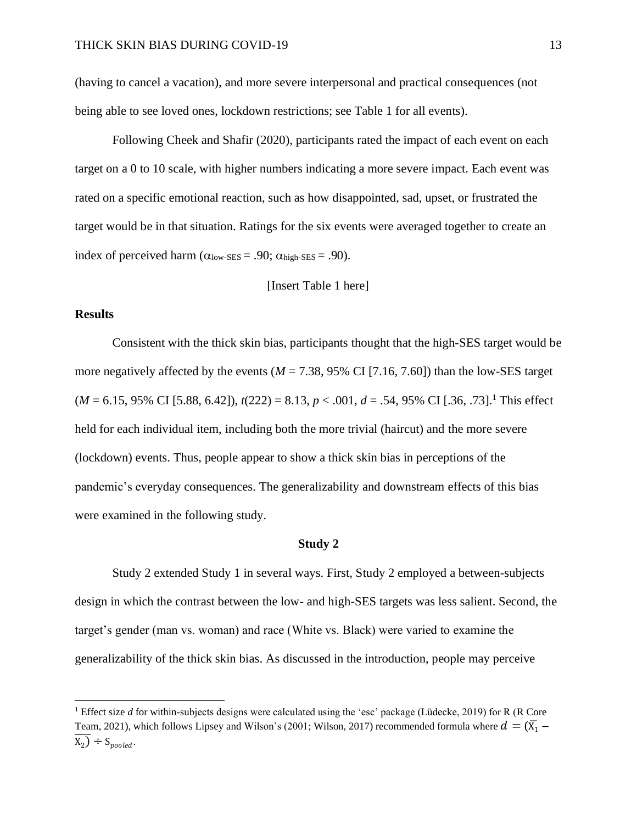(having to cancel a vacation), and more severe interpersonal and practical consequences (not being able to see loved ones, lockdown restrictions; see Table 1 for all events).

Following Cheek and Shafir (2020), participants rated the impact of each event on each target on a 0 to 10 scale, with higher numbers indicating a more severe impact. Each event was rated on a specific emotional reaction, such as how disappointed, sad, upset, or frustrated the target would be in that situation. Ratings for the six events were averaged together to create an index of perceived harm  $(\alpha_{\text{low-SES}} = .90; \alpha_{\text{high-SES}} = .90)$ .

### [Insert Table 1 here]

#### **Results**

Consistent with the thick skin bias, participants thought that the high-SES target would be more negatively affected by the events ( $M = 7.38$ , 95% CI [7.16, 7.60]) than the low-SES target  $(M = 6.15, 95\% \text{ CI} [5.88, 6.42]), t(222) = 8.13, p < .001, d = .54, 95\% \text{ CI} [0.36, 0.73].$ <sup>1</sup> This effect held for each individual item, including both the more trivial (haircut) and the more severe (lockdown) events. Thus, people appear to show a thick skin bias in perceptions of the pandemic's everyday consequences. The generalizability and downstream effects of this bias were examined in the following study.

### **Study 2**

Study 2 extended Study 1 in several ways. First, Study 2 employed a between-subjects design in which the contrast between the low- and high-SES targets was less salient. Second, the target's gender (man vs. woman) and race (White vs. Black) were varied to examine the generalizability of the thick skin bias. As discussed in the introduction, people may perceive

<sup>&</sup>lt;sup>1</sup> Effect size *d* for within-subjects designs were calculated using the 'esc' package (Lüdecke, 2019) for R (R Core Team, 2021), which follows Lipsey and Wilson's (2001; Wilson, 2017) recommended formula where  $d=(\bar{\chi_1}+$  $\overline{X_2}$   $\div$  S<sub>pooled</sub>.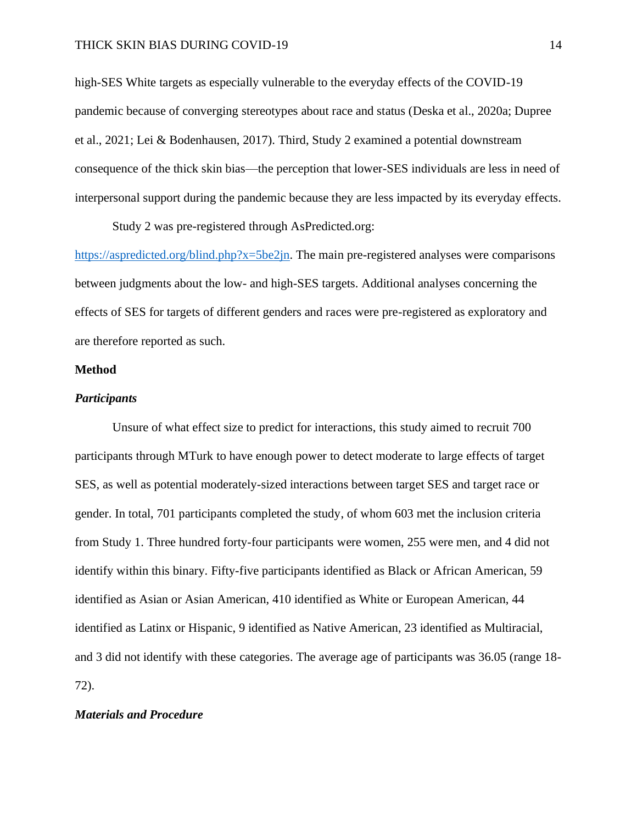high-SES White targets as especially vulnerable to the everyday effects of the COVID-19 pandemic because of converging stereotypes about race and status (Deska et al., 2020a; Dupree et al., 2021; Lei & Bodenhausen, 2017). Third, Study 2 examined a potential downstream consequence of the thick skin bias—the perception that lower-SES individuals are less in need of interpersonal support during the pandemic because they are less impacted by its everyday effects.

Study 2 was pre-registered through AsPredicted.org:

[https://aspredicted.org/blind.php?x=5be2jn.](https://aspredicted.org/blind.php?x=5be2jn) The main pre-registered analyses were comparisons between judgments about the low- and high-SES targets. Additional analyses concerning the effects of SES for targets of different genders and races were pre-registered as exploratory and are therefore reported as such.

### **Method**

#### *Participants*

Unsure of what effect size to predict for interactions, this study aimed to recruit 700 participants through MTurk to have enough power to detect moderate to large effects of target SES, as well as potential moderately-sized interactions between target SES and target race or gender. In total, 701 participants completed the study, of whom 603 met the inclusion criteria from Study 1. Three hundred forty-four participants were women, 255 were men, and 4 did not identify within this binary. Fifty-five participants identified as Black or African American, 59 identified as Asian or Asian American, 410 identified as White or European American, 44 identified as Latinx or Hispanic, 9 identified as Native American, 23 identified as Multiracial, and 3 did not identify with these categories. The average age of participants was 36.05 (range 18- 72).

### *Materials and Procedure*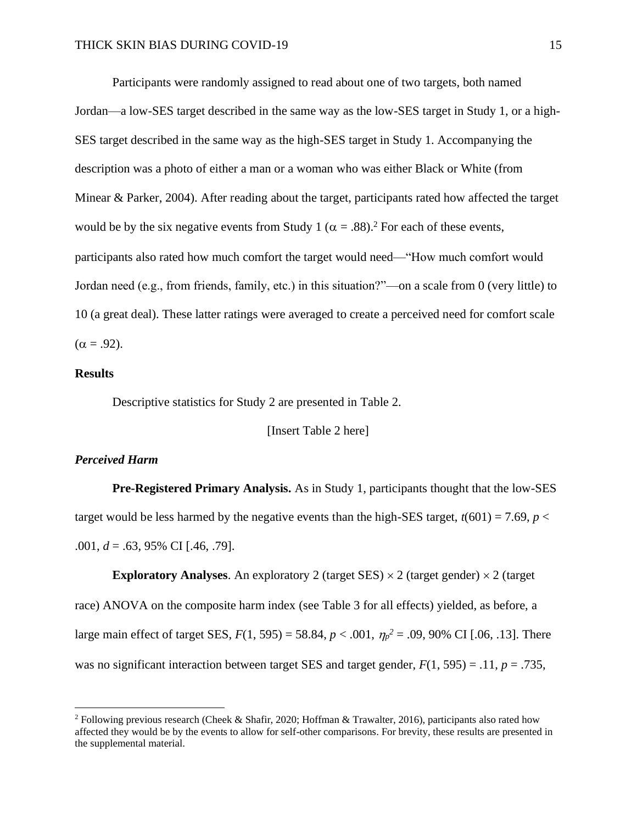Participants were randomly assigned to read about one of two targets, both named Jordan—a low-SES target described in the same way as the low-SES target in Study 1, or a high-SES target described in the same way as the high-SES target in Study 1. Accompanying the description was a photo of either a man or a woman who was either Black or White (from Minear & Parker, 2004). After reading about the target, participants rated how affected the target would be by the six negative events from Study 1 ( $\alpha = .88$ ).<sup>2</sup> For each of these events, participants also rated how much comfort the target would need—"How much comfort would Jordan need (e.g., from friends, family, etc.) in this situation?"—on a scale from 0 (very little) to 10 (a great deal). These latter ratings were averaged to create a perceived need for comfort scale  $(\alpha = .92)$ .

### **Results**

Descriptive statistics for Study 2 are presented in Table 2.

[Insert Table 2 here]

### *Perceived Harm*

**Pre-Registered Primary Analysis.** As in Study 1, participants thought that the low-SES target would be less harmed by the negative events than the high-SES target,  $t(601) = 7.69$ ,  $p <$ .001, *d* = .63, 95% CI [.46, .79].

**Exploratory Analyses.** An exploratory 2 (target SES)  $\times$  2 (target gender)  $\times$  2 (target race) ANOVA on the composite harm index (see Table 3 for all effects) yielded, as before, a large main effect of target SES,  $F(1, 595) = 58.84$ ,  $p < .001$ ,  $\eta_p^2 = .09$ , 90% CI [.06, .13]. There was no significant interaction between target SES and target gender,  $F(1, 595) = .11$ ,  $p = .735$ ,

<sup>2</sup> Following previous research (Cheek & Shafir, 2020; Hoffman & Trawalter, 2016), participants also rated how affected they would be by the events to allow for self-other comparisons. For brevity, these results are presented in the supplemental material.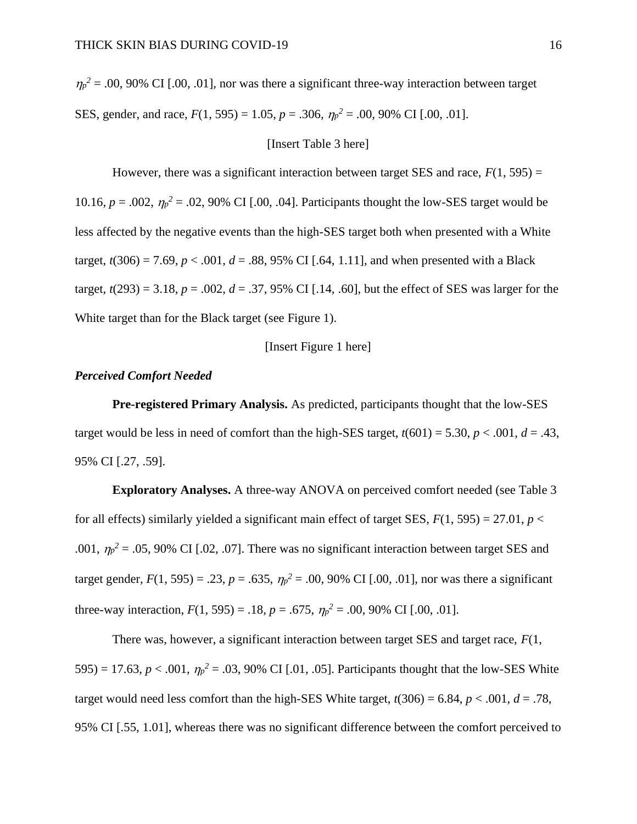$\eta_p^2$  = .00, 90% CI [.00, .01], nor was there a significant three-way interaction between target SES, gender, and race,  $F(1, 595) = 1.05$ ,  $p = .306$ ,  $\eta_p^2 = .00$ , 90% CI [.00, .01].

#### [Insert Table 3 here]

However, there was a significant interaction between target SES and race,  $F(1, 595) =$ 10.16,  $p = .002$ ,  $\eta_p^2 = .02$ , 90% CI [.00, .04]. Participants thought the low-SES target would be less affected by the negative events than the high-SES target both when presented with a White target,  $t(306) = 7.69$ ,  $p < .001$ ,  $d = .88$ , 95% CI [.64, 1.11], and when presented with a Black target,  $t(293) = 3.18$ ,  $p = .002$ ,  $d = .37$ , 95% CI [.14, .60], but the effect of SES was larger for the White target than for the Black target (see Figure 1).

### [Insert Figure 1 here]

### *Perceived Comfort Needed*

**Pre-registered Primary Analysis.** As predicted, participants thought that the low-SES target would be less in need of comfort than the high-SES target,  $t(601) = 5.30, p < .001, d = .43,$ 95% CI [.27, .59].

**Exploratory Analyses.** A three-way ANOVA on perceived comfort needed (see Table 3 for all effects) similarly yielded a significant main effect of target SES,  $F(1, 595) = 27.01$ ,  $p <$ .001,  $\eta_p^2 = 0.05$ , 90% CI [.02, .07]. There was no significant interaction between target SES and target gender,  $F(1, 595) = .23$ ,  $p = .635$ ,  $\eta_p^2 = .00$ , 90% CI [.00, .01], nor was there a significant three-way interaction,  $F(1, 595) = .18$ ,  $p = .675$ ,  $\eta_p^2 = .00$ , 90% CI [.00, .01].

There was, however, a significant interaction between target SES and target race, *F*(1, 595) = 17.63,  $p < .001$ ,  $\eta_p^2 = .03$ , 90% CI [.01, .05]. Participants thought that the low-SES White target would need less comfort than the high-SES White target,  $t(306) = 6.84$ ,  $p < .001$ ,  $d = .78$ , 95% CI [.55, 1.01], whereas there was no significant difference between the comfort perceived to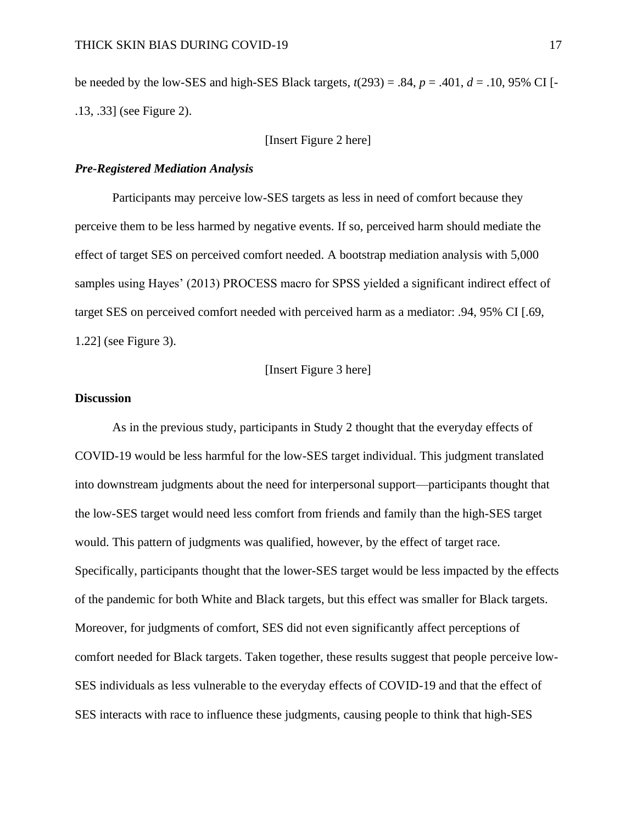be needed by the low-SES and high-SES Black targets,  $t(293) = .84$ ,  $p = .401$ ,  $d = .10$ , 95% CI [-.13, .33] (see Figure 2).

### [Insert Figure 2 here]

### *Pre-Registered Mediation Analysis*

Participants may perceive low-SES targets as less in need of comfort because they perceive them to be less harmed by negative events. If so, perceived harm should mediate the effect of target SES on perceived comfort needed. A bootstrap mediation analysis with 5,000 samples using Hayes' (2013) PROCESS macro for SPSS yielded a significant indirect effect of target SES on perceived comfort needed with perceived harm as a mediator: .94, 95% CI [.69, 1.22] (see Figure 3).

[Insert Figure 3 here]

### **Discussion**

As in the previous study, participants in Study 2 thought that the everyday effects of COVID-19 would be less harmful for the low-SES target individual. This judgment translated into downstream judgments about the need for interpersonal support—participants thought that the low-SES target would need less comfort from friends and family than the high-SES target would. This pattern of judgments was qualified, however, by the effect of target race. Specifically, participants thought that the lower-SES target would be less impacted by the effects of the pandemic for both White and Black targets, but this effect was smaller for Black targets. Moreover, for judgments of comfort, SES did not even significantly affect perceptions of comfort needed for Black targets. Taken together, these results suggest that people perceive low-SES individuals as less vulnerable to the everyday effects of COVID-19 and that the effect of SES interacts with race to influence these judgments, causing people to think that high-SES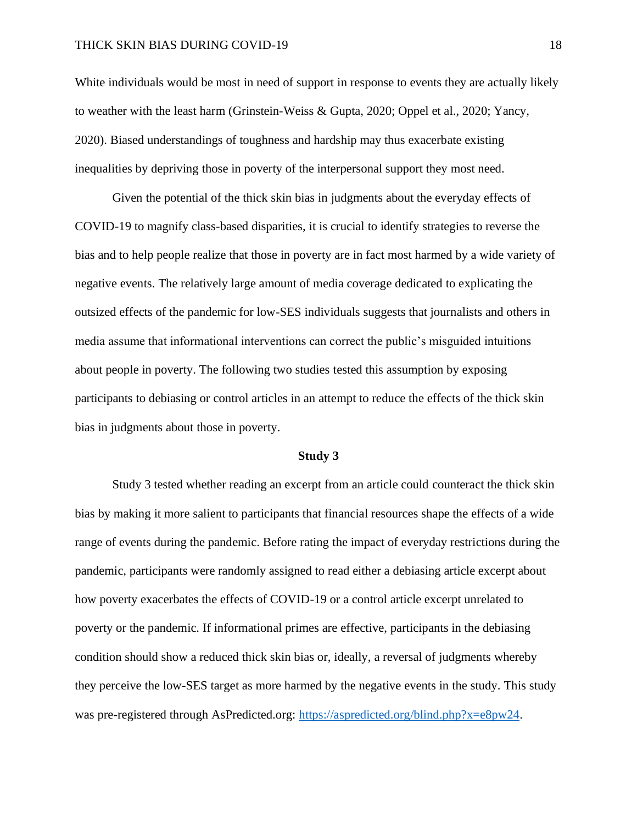White individuals would be most in need of support in response to events they are actually likely to weather with the least harm (Grinstein-Weiss & Gupta, 2020; Oppel et al., 2020; Yancy, 2020). Biased understandings of toughness and hardship may thus exacerbate existing inequalities by depriving those in poverty of the interpersonal support they most need.

Given the potential of the thick skin bias in judgments about the everyday effects of COVID-19 to magnify class-based disparities, it is crucial to identify strategies to reverse the bias and to help people realize that those in poverty are in fact most harmed by a wide variety of negative events. The relatively large amount of media coverage dedicated to explicating the outsized effects of the pandemic for low-SES individuals suggests that journalists and others in media assume that informational interventions can correct the public's misguided intuitions about people in poverty. The following two studies tested this assumption by exposing participants to debiasing or control articles in an attempt to reduce the effects of the thick skin bias in judgments about those in poverty.

#### **Study 3**

Study 3 tested whether reading an excerpt from an article could counteract the thick skin bias by making it more salient to participants that financial resources shape the effects of a wide range of events during the pandemic. Before rating the impact of everyday restrictions during the pandemic, participants were randomly assigned to read either a debiasing article excerpt about how poverty exacerbates the effects of COVID-19 or a control article excerpt unrelated to poverty or the pandemic. If informational primes are effective, participants in the debiasing condition should show a reduced thick skin bias or, ideally, a reversal of judgments whereby they perceive the low-SES target as more harmed by the negative events in the study. This study was pre-registered through AsPredicted.org: [https://aspredicted.org/blind.php?x=e8pw24.](https://aspredicted.org/blind.php?x=e8pw24)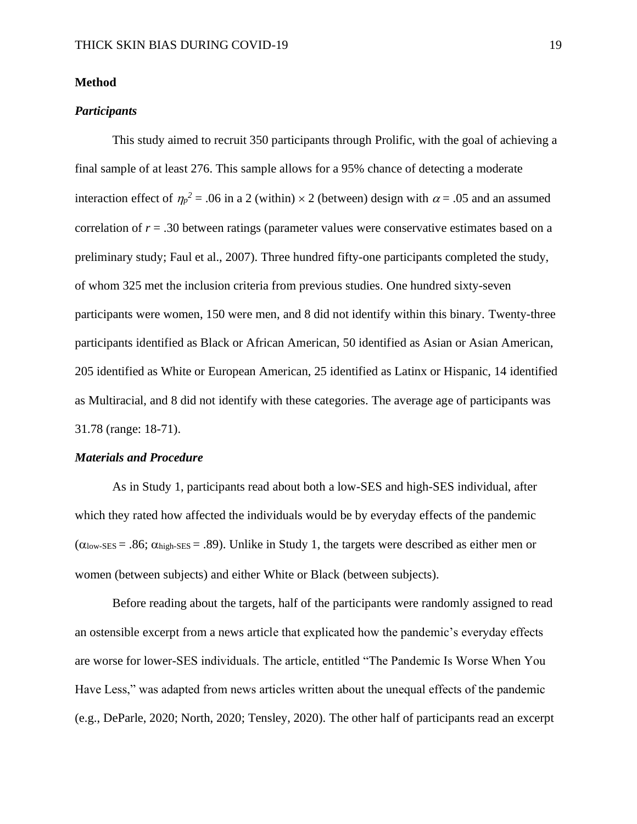### **Method**

### *Participants*

This study aimed to recruit 350 participants through Prolific, with the goal of achieving a final sample of at least 276. This sample allows for a 95% chance of detecting a moderate interaction effect of  $\eta_p^2 = 0.06$  in a 2 (within)  $\times$  2 (between) design with  $\alpha$  = 0.05 and an assumed correlation of  $r = .30$  between ratings (parameter values were conservative estimates based on a preliminary study; Faul et al., 2007). Three hundred fifty-one participants completed the study, of whom 325 met the inclusion criteria from previous studies. One hundred sixty-seven participants were women, 150 were men, and 8 did not identify within this binary. Twenty-three participants identified as Black or African American, 50 identified as Asian or Asian American, 205 identified as White or European American, 25 identified as Latinx or Hispanic, 14 identified as Multiracial, and 8 did not identify with these categories. The average age of participants was 31.78 (range: 18-71).

### *Materials and Procedure*

As in Study 1, participants read about both a low-SES and high-SES individual, after which they rated how affected the individuals would be by everyday effects of the pandemic  $(\alpha_{\text{low-SES}} = .86; \alpha_{\text{high-SES}} = .89)$ . Unlike in Study 1, the targets were described as either men or women (between subjects) and either White or Black (between subjects).

Before reading about the targets, half of the participants were randomly assigned to read an ostensible excerpt from a news article that explicated how the pandemic's everyday effects are worse for lower-SES individuals. The article, entitled "The Pandemic Is Worse When You Have Less," was adapted from news articles written about the unequal effects of the pandemic (e.g., DeParle, 2020; North, 2020; Tensley, 2020). The other half of participants read an excerpt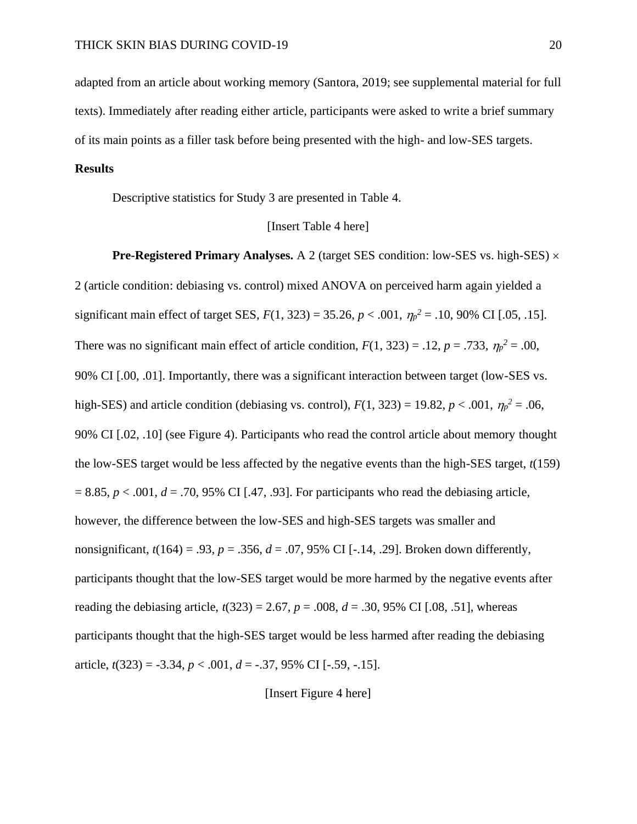adapted from an article about working memory (Santora, 2019; see supplemental material for full texts). Immediately after reading either article, participants were asked to write a brief summary of its main points as a filler task before being presented with the high- and low-SES targets.

### **Results**

Descriptive statistics for Study 3 are presented in Table 4.

### [Insert Table 4 here]

**Pre-Registered Primary Analyses.** A 2 (target SES condition: low-SES vs. high-SES)  $\times$ 2 (article condition: debiasing vs. control) mixed ANOVA on perceived harm again yielded a significant main effect of target SES,  $F(1, 323) = 35.26$ ,  $p < .001$ ,  $\eta_p^2 = .10$ , 90% CI [.05, .15]. There was no significant main effect of article condition,  $F(1, 323) = .12$ ,  $p = .733$ ,  $\eta_p^2 = .00$ , 90% CI [.00, .01]. Importantly, there was a significant interaction between target (low-SES vs. high-SES) and article condition (debiasing vs. control),  $F(1, 323) = 19.82$ ,  $p < .001$ ,  $\eta_p^2 = .06$ , 90% CI [.02, .10] (see Figure 4). Participants who read the control article about memory thought the low-SES target would be less affected by the negative events than the high-SES target, *t*(159)  $= 8.85, p < .001, d = .70, 95\%$  CI [.47, .93]. For participants who read the debiasing article, however, the difference between the low-SES and high-SES targets was smaller and nonsignificant,  $t(164) = .93$ ,  $p = .356$ ,  $d = .07$ , 95% CI [-.14, .29]. Broken down differently, participants thought that the low-SES target would be more harmed by the negative events after reading the debiasing article,  $t(323) = 2.67$ ,  $p = .008$ ,  $d = .30$ , 95% CI [.08, .51], whereas participants thought that the high-SES target would be less harmed after reading the debiasing article, *t*(323) = -3.34, *p* < .001, *d* = -.37, 95% CI [-.59, -.15].

[Insert Figure 4 here]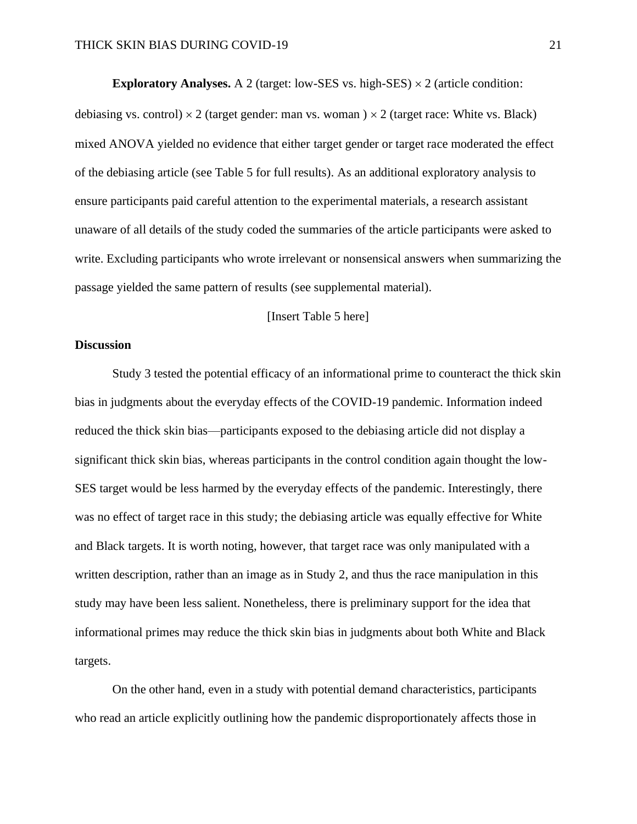**Exploratory Analyses.** A 2 (target: low-SES vs. high-SES)  $\times$  2 (article condition: debiasing vs. control)  $\times$  2 (target gender: man vs. woman )  $\times$  2 (target race: White vs. Black) mixed ANOVA yielded no evidence that either target gender or target race moderated the effect of the debiasing article (see Table 5 for full results). As an additional exploratory analysis to ensure participants paid careful attention to the experimental materials, a research assistant unaware of all details of the study coded the summaries of the article participants were asked to write. Excluding participants who wrote irrelevant or nonsensical answers when summarizing the passage yielded the same pattern of results (see supplemental material).

### [Insert Table 5 here]

### **Discussion**

Study 3 tested the potential efficacy of an informational prime to counteract the thick skin bias in judgments about the everyday effects of the COVID-19 pandemic. Information indeed reduced the thick skin bias—participants exposed to the debiasing article did not display a significant thick skin bias, whereas participants in the control condition again thought the low-SES target would be less harmed by the everyday effects of the pandemic. Interestingly, there was no effect of target race in this study; the debiasing article was equally effective for White and Black targets. It is worth noting, however, that target race was only manipulated with a written description, rather than an image as in Study 2, and thus the race manipulation in this study may have been less salient. Nonetheless, there is preliminary support for the idea that informational primes may reduce the thick skin bias in judgments about both White and Black targets.

On the other hand, even in a study with potential demand characteristics, participants who read an article explicitly outlining how the pandemic disproportionately affects those in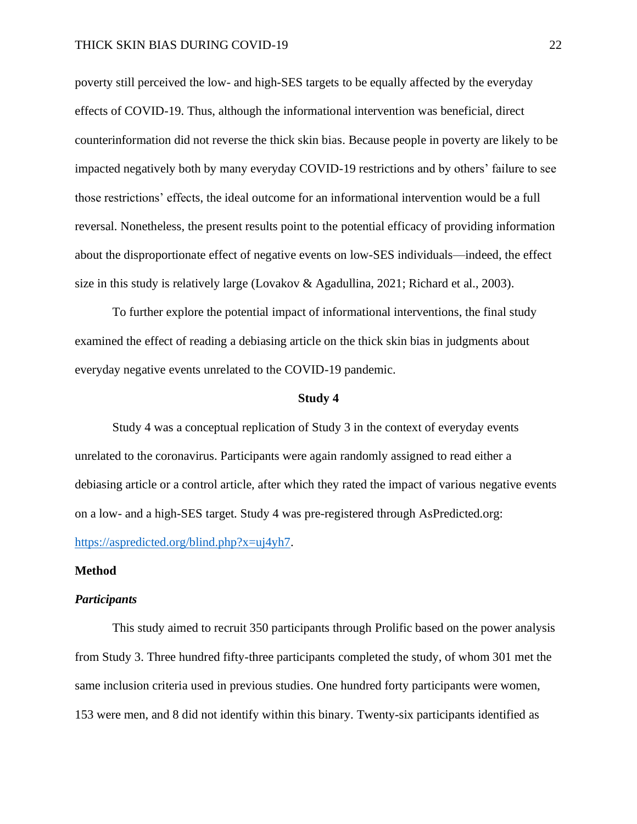poverty still perceived the low- and high-SES targets to be equally affected by the everyday effects of COVID-19. Thus, although the informational intervention was beneficial, direct counterinformation did not reverse the thick skin bias. Because people in poverty are likely to be impacted negatively both by many everyday COVID-19 restrictions and by others' failure to see those restrictions' effects, the ideal outcome for an informational intervention would be a full reversal. Nonetheless, the present results point to the potential efficacy of providing information about the disproportionate effect of negative events on low-SES individuals—indeed, the effect size in this study is relatively large (Lovakov & Agadullina, 2021; Richard et al., 2003).

To further explore the potential impact of informational interventions, the final study examined the effect of reading a debiasing article on the thick skin bias in judgments about everyday negative events unrelated to the COVID-19 pandemic.

#### **Study 4**

Study 4 was a conceptual replication of Study 3 in the context of everyday events unrelated to the coronavirus. Participants were again randomly assigned to read either a debiasing article or a control article, after which they rated the impact of various negative events on a low- and a high-SES target. Study 4 was pre-registered through AsPredicted.org: [https://aspredicted.org/blind.php?x=uj4yh7.](https://aspredicted.org/blind.php?x=uj4yh7)

### **Method**

### *Participants*

This study aimed to recruit 350 participants through Prolific based on the power analysis from Study 3. Three hundred fifty-three participants completed the study, of whom 301 met the same inclusion criteria used in previous studies. One hundred forty participants were women, 153 were men, and 8 did not identify within this binary. Twenty-six participants identified as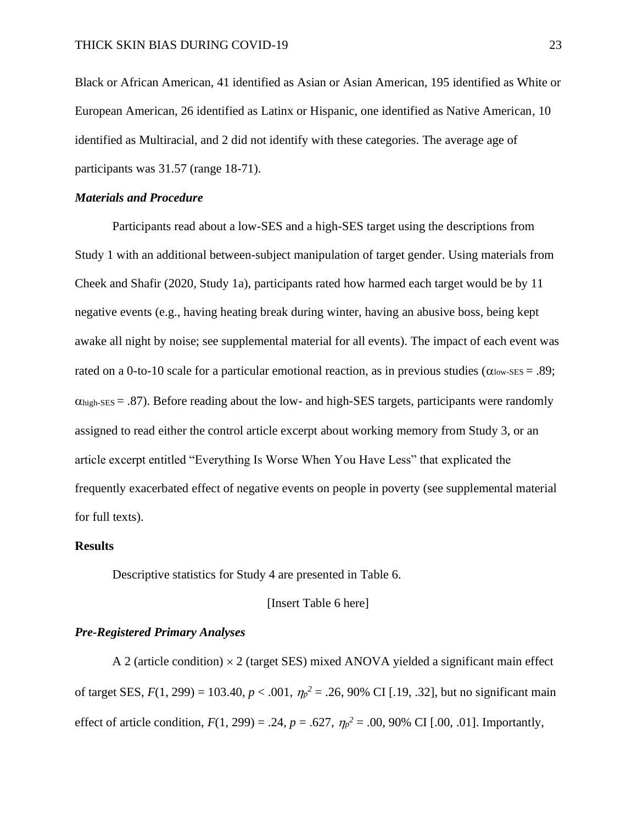Black or African American, 41 identified as Asian or Asian American, 195 identified as White or European American, 26 identified as Latinx or Hispanic, one identified as Native American, 10 identified as Multiracial, and 2 did not identify with these categories. The average age of participants was 31.57 (range 18-71).

#### *Materials and Procedure*

Participants read about a low-SES and a high-SES target using the descriptions from Study 1 with an additional between-subject manipulation of target gender. Using materials from Cheek and Shafir (2020, Study 1a), participants rated how harmed each target would be by 11 negative events (e.g., having heating break during winter, having an abusive boss, being kept awake all night by noise; see supplemental material for all events). The impact of each event was rated on a 0-to-10 scale for a particular emotional reaction, as in previous studies ( $\alpha_{\text{low-SES}} = .89$ ;  $\alpha_{\text{high-SES}} = .87$ ). Before reading about the low- and high-SES targets, participants were randomly assigned to read either the control article excerpt about working memory from Study 3, or an article excerpt entitled "Everything Is Worse When You Have Less" that explicated the frequently exacerbated effect of negative events on people in poverty (see supplemental material for full texts).

### **Results**

Descriptive statistics for Study 4 are presented in Table 6.

### [Insert Table 6 here]

### *Pre-Registered Primary Analyses*

A 2 (article condition)  $\times$  2 (target SES) mixed ANOVA yielded a significant main effect of target SES,  $F(1, 299) = 103.40, p < .001, \eta_p^2 = .26, 90\% \text{ CI}$  [.19, .32], but no significant main effect of article condition,  $F(1, 299) = .24$ ,  $p = .627$ ,  $\eta_p^2 = .00$ , 90% CI [.00, .01]. Importantly,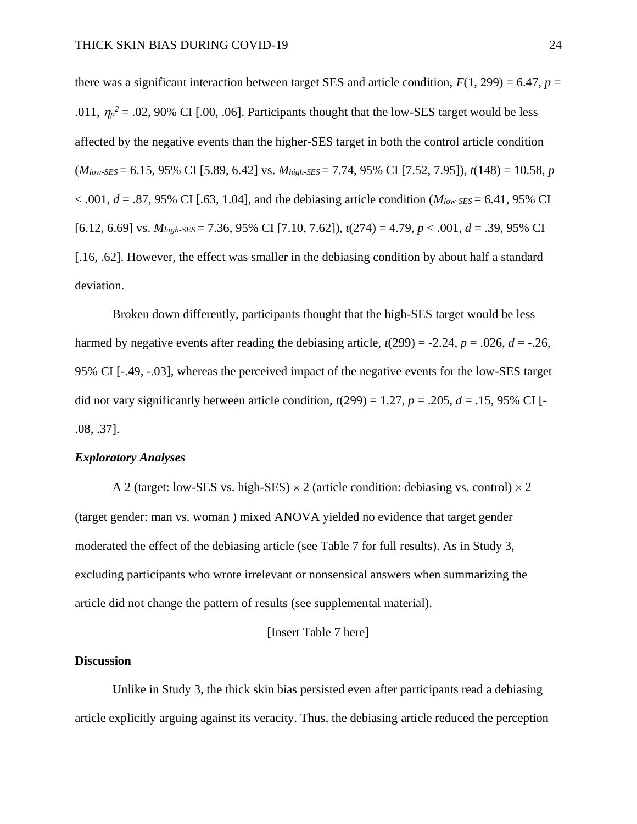there was a significant interaction between target SES and article condition,  $F(1, 299) = 6.47$ ,  $p =$ .011,  $\eta_p^2$  = .02, 90% CI [.00, .06]. Participants thought that the low-SES target would be less affected by the negative events than the higher-SES target in both the control article condition (*Mlow-SES* = 6.15, 95% CI [5.89, 6.42] vs. *Mhigh-SES* = 7.74, 95% CI [7.52, 7.95]), *t*(148) = 10.58, *p*  $< .001, d = .87, 95\% \text{ CI}$  [.63, 1.04], and the debiasing article condition (*M<sub>low-SES</sub>* = 6.41, 95% CI [6.12, 6.69] vs. *Mhigh-SES* = 7.36, 95% CI [7.10, 7.62]), *t*(274) = 4.79, *p* < .001, *d* = .39, 95% CI [.16, .62]. However, the effect was smaller in the debiasing condition by about half a standard deviation.

Broken down differently, participants thought that the high-SES target would be less harmed by negative events after reading the debiasing article,  $t(299) = -2.24$ ,  $p = .026$ ,  $d = -.26$ , 95% CI [-.49, -.03], whereas the perceived impact of the negative events for the low-SES target did not vary significantly between article condition,  $t(299) = 1.27$ ,  $p = .205$ ,  $d = .15$ , 95% CI [-.08, .37].

### *Exploratory Analyses*

A 2 (target: low-SES vs. high-SES)  $\times$  2 (article condition: debiasing vs. control)  $\times$  2 (target gender: man vs. woman ) mixed ANOVA yielded no evidence that target gender moderated the effect of the debiasing article (see Table 7 for full results). As in Study 3, excluding participants who wrote irrelevant or nonsensical answers when summarizing the article did not change the pattern of results (see supplemental material).

### [Insert Table 7 here]

### **Discussion**

Unlike in Study 3, the thick skin bias persisted even after participants read a debiasing article explicitly arguing against its veracity. Thus, the debiasing article reduced the perception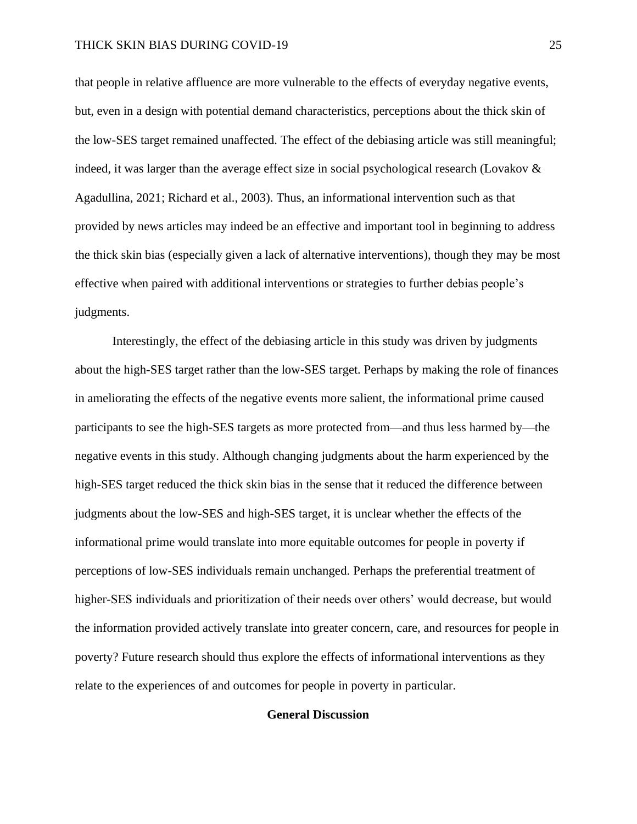that people in relative affluence are more vulnerable to the effects of everyday negative events, but, even in a design with potential demand characteristics, perceptions about the thick skin of the low-SES target remained unaffected. The effect of the debiasing article was still meaningful; indeed, it was larger than the average effect size in social psychological research (Lovakov & Agadullina, 2021; Richard et al., 2003). Thus, an informational intervention such as that provided by news articles may indeed be an effective and important tool in beginning to address the thick skin bias (especially given a lack of alternative interventions), though they may be most effective when paired with additional interventions or strategies to further debias people's judgments.

Interestingly, the effect of the debiasing article in this study was driven by judgments about the high-SES target rather than the low-SES target. Perhaps by making the role of finances in ameliorating the effects of the negative events more salient, the informational prime caused participants to see the high-SES targets as more protected from—and thus less harmed by—the negative events in this study. Although changing judgments about the harm experienced by the high-SES target reduced the thick skin bias in the sense that it reduced the difference between judgments about the low-SES and high-SES target, it is unclear whether the effects of the informational prime would translate into more equitable outcomes for people in poverty if perceptions of low-SES individuals remain unchanged. Perhaps the preferential treatment of higher-SES individuals and prioritization of their needs over others' would decrease, but would the information provided actively translate into greater concern, care, and resources for people in poverty? Future research should thus explore the effects of informational interventions as they relate to the experiences of and outcomes for people in poverty in particular.

### **General Discussion**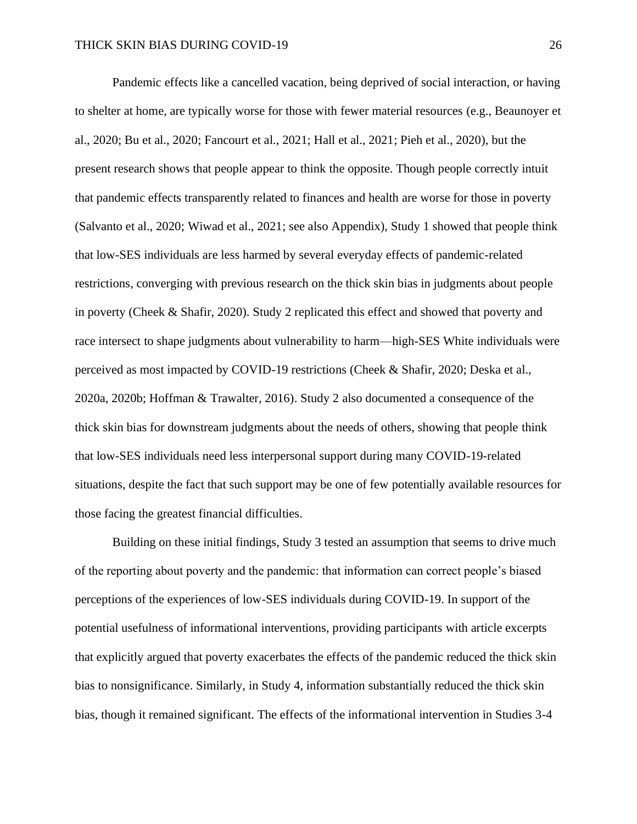Pandemic effects like a cancelled vacation, being deprived of social interaction, or having to shelter at home, are typically worse for those with fewer material resources (e.g., Beaunoyer et al., 2020; Bu et al., 2020; Fancourt et al., 2021; Hall et al., 2021; Pieh et al., 2020), but the present research shows that people appear to think the opposite. Though people correctly intuit that pandemic effects transparently related to finances and health are worse for those in poverty (Salvanto et al., 2020; Wiwad et al., 2021; see also Appendix), Study 1 showed that people think that low-SES individuals are less harmed by several everyday effects of pandemic-related restrictions, converging with previous research on the thick skin bias in judgments about people in poverty (Cheek & Shafir, 2020). Study 2 replicated this effect and showed that poverty and race intersect to shape judgments about vulnerability to harm—high-SES White individuals were perceived as most impacted by COVID-19 restrictions (Cheek & Shafir, 2020; Deska et al., 2020a, 2020b; Hoffman & Trawalter, 2016). Study 2 also documented a consequence of the thick skin bias for downstream judgments about the needs of others, showing that people think that low-SES individuals need less interpersonal support during many COVID-19-related situations, despite the fact that such support may be one of few potentially available resources for those facing the greatest financial difficulties.

Building on these initial findings, Study 3 tested an assumption that seems to drive much of the reporting about poverty and the pandemic: that information can correct people's biased perceptions of the experiences of low-SES individuals during COVID-19. In support of the potential usefulness of informational interventions, providing participants with article excerpts that explicitly argued that poverty exacerbates the effects of the pandemic reduced the thick skin bias to nonsignificance. Similarly, in Study 4, information substantially reduced the thick skin bias, though it remained significant. The effects of the informational intervention in Studies 3-4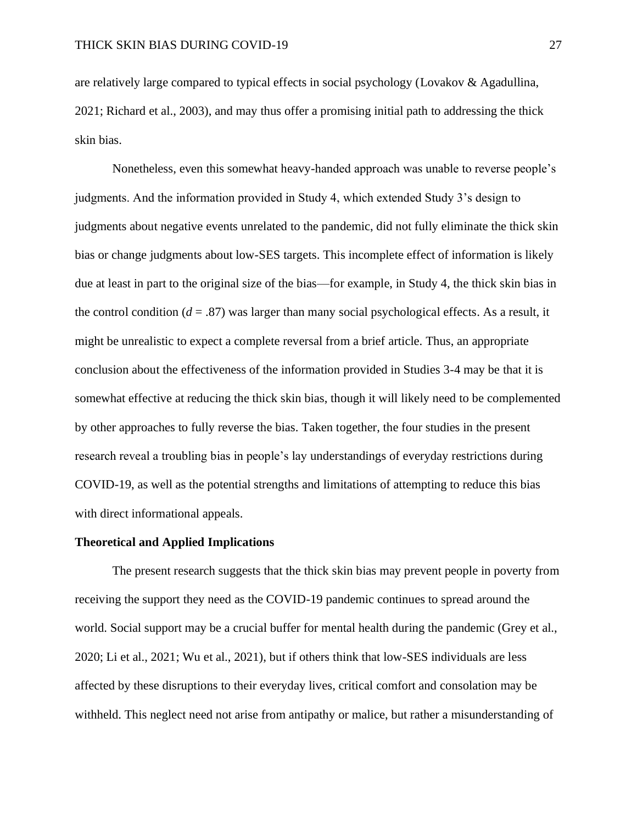are relatively large compared to typical effects in social psychology (Lovakov & Agadullina, 2021; Richard et al., 2003), and may thus offer a promising initial path to addressing the thick skin bias.

Nonetheless, even this somewhat heavy-handed approach was unable to reverse people's judgments. And the information provided in Study 4, which extended Study 3's design to judgments about negative events unrelated to the pandemic, did not fully eliminate the thick skin bias or change judgments about low-SES targets. This incomplete effect of information is likely due at least in part to the original size of the bias—for example, in Study 4, the thick skin bias in the control condition  $(d = .87)$  was larger than many social psychological effects. As a result, it might be unrealistic to expect a complete reversal from a brief article. Thus, an appropriate conclusion about the effectiveness of the information provided in Studies 3-4 may be that it is somewhat effective at reducing the thick skin bias, though it will likely need to be complemented by other approaches to fully reverse the bias. Taken together, the four studies in the present research reveal a troubling bias in people's lay understandings of everyday restrictions during COVID-19, as well as the potential strengths and limitations of attempting to reduce this bias with direct informational appeals.

#### **Theoretical and Applied Implications**

The present research suggests that the thick skin bias may prevent people in poverty from receiving the support they need as the COVID-19 pandemic continues to spread around the world. Social support may be a crucial buffer for mental health during the pandemic (Grey et al., 2020; Li et al., 2021; Wu et al., 2021), but if others think that low-SES individuals are less affected by these disruptions to their everyday lives, critical comfort and consolation may be withheld. This neglect need not arise from antipathy or malice, but rather a misunderstanding of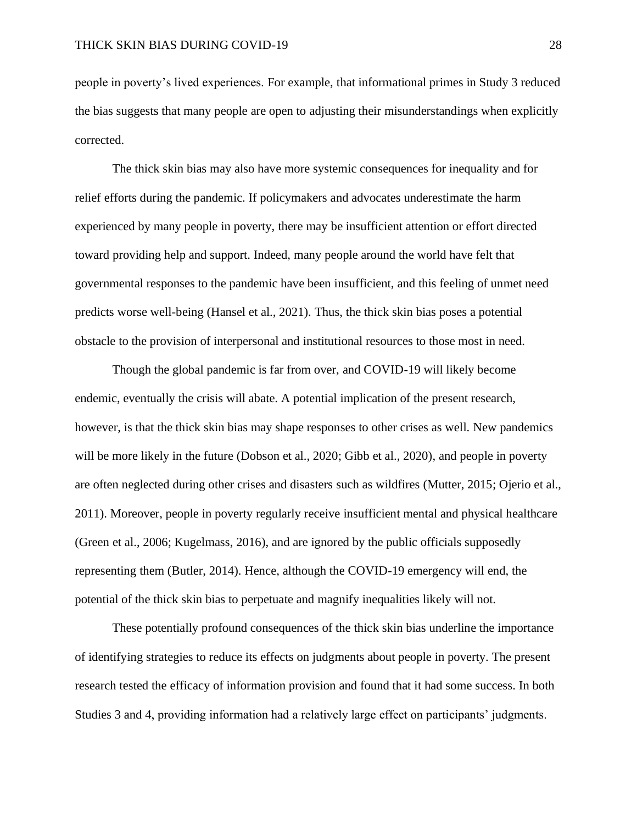people in poverty's lived experiences. For example, that informational primes in Study 3 reduced the bias suggests that many people are open to adjusting their misunderstandings when explicitly corrected.

The thick skin bias may also have more systemic consequences for inequality and for relief efforts during the pandemic. If policymakers and advocates underestimate the harm experienced by many people in poverty, there may be insufficient attention or effort directed toward providing help and support. Indeed, many people around the world have felt that governmental responses to the pandemic have been insufficient, and this feeling of unmet need predicts worse well-being (Hansel et al., 2021). Thus, the thick skin bias poses a potential obstacle to the provision of interpersonal and institutional resources to those most in need.

Though the global pandemic is far from over, and COVID-19 will likely become endemic, eventually the crisis will abate. A potential implication of the present research, however, is that the thick skin bias may shape responses to other crises as well. New pandemics will be more likely in the future (Dobson et al., 2020; Gibb et al., 2020), and people in poverty are often neglected during other crises and disasters such as wildfires (Mutter, 2015; Ojerio et al., 2011). Moreover, people in poverty regularly receive insufficient mental and physical healthcare (Green et al., 2006; Kugelmass, 2016), and are ignored by the public officials supposedly representing them (Butler, 2014). Hence, although the COVID-19 emergency will end, the potential of the thick skin bias to perpetuate and magnify inequalities likely will not.

These potentially profound consequences of the thick skin bias underline the importance of identifying strategies to reduce its effects on judgments about people in poverty. The present research tested the efficacy of information provision and found that it had some success. In both Studies 3 and 4, providing information had a relatively large effect on participants' judgments.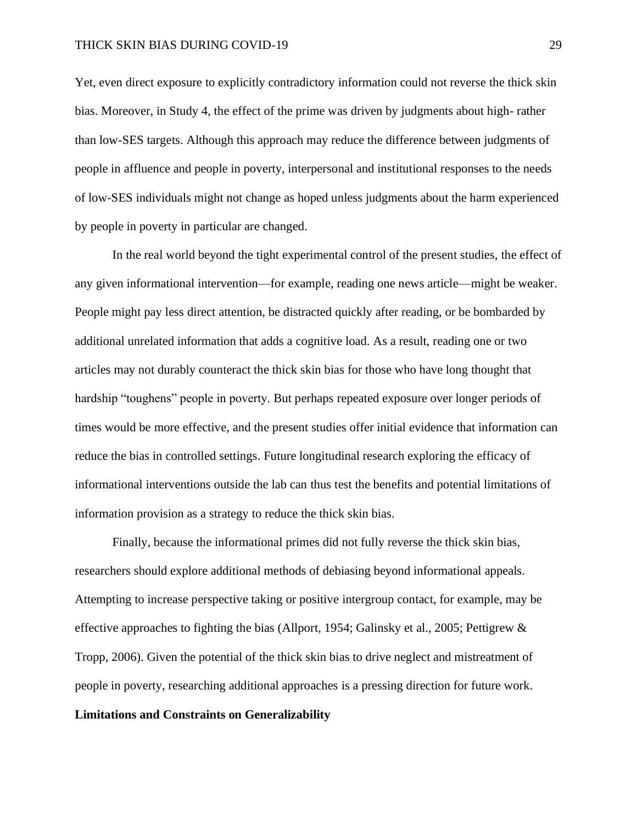Yet, even direct exposure to explicitly contradictory information could not reverse the thick skin bias. Moreover, in Study 4, the effect of the prime was driven by judgments about high- rather than low-SES targets. Although this approach may reduce the difference between judgments of people in affluence and people in poverty, interpersonal and institutional responses to the needs of low-SES individuals might not change as hoped unless judgments about the harm experienced by people in poverty in particular are changed.

In the real world beyond the tight experimental control of the present studies, the effect of any given informational intervention—for example, reading one news article—might be weaker. People might pay less direct attention, be distracted quickly after reading, or be bombarded by additional unrelated information that adds a cognitive load. As a result, reading one or two articles may not durably counteract the thick skin bias for those who have long thought that hardship "toughens" people in poverty. But perhaps repeated exposure over longer periods of times would be more effective, and the present studies offer initial evidence that information can reduce the bias in controlled settings. Future longitudinal research exploring the efficacy of informational interventions outside the lab can thus test the benefits and potential limitations of information provision as a strategy to reduce the thick skin bias.

Finally, because the informational primes did not fully reverse the thick skin bias, researchers should explore additional methods of debiasing beyond informational appeals. Attempting to increase perspective taking or positive intergroup contact, for example, may be effective approaches to fighting the bias (Allport, 1954; Galinsky et al., 2005; Pettigrew & Tropp, 2006). Given the potential of the thick skin bias to drive neglect and mistreatment of people in poverty, researching additional approaches is a pressing direction for future work.

### **Limitations and Constraints on Generalizability**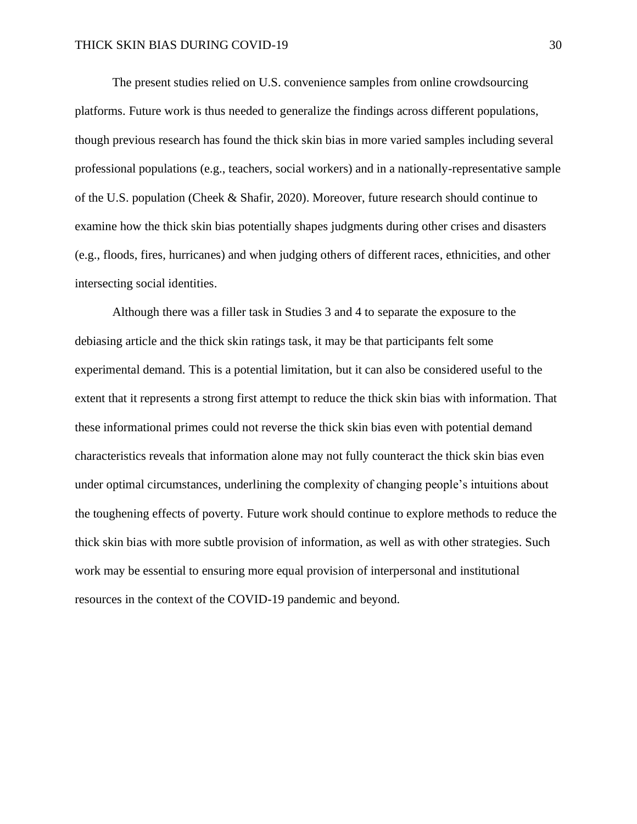The present studies relied on U.S. convenience samples from online crowdsourcing platforms. Future work is thus needed to generalize the findings across different populations, though previous research has found the thick skin bias in more varied samples including several professional populations (e.g., teachers, social workers) and in a nationally-representative sample of the U.S. population (Cheek & Shafir, 2020). Moreover, future research should continue to examine how the thick skin bias potentially shapes judgments during other crises and disasters (e.g., floods, fires, hurricanes) and when judging others of different races, ethnicities, and other intersecting social identities.

Although there was a filler task in Studies 3 and 4 to separate the exposure to the debiasing article and the thick skin ratings task, it may be that participants felt some experimental demand. This is a potential limitation, but it can also be considered useful to the extent that it represents a strong first attempt to reduce the thick skin bias with information. That these informational primes could not reverse the thick skin bias even with potential demand characteristics reveals that information alone may not fully counteract the thick skin bias even under optimal circumstances, underlining the complexity of changing people's intuitions about the toughening effects of poverty. Future work should continue to explore methods to reduce the thick skin bias with more subtle provision of information, as well as with other strategies. Such work may be essential to ensuring more equal provision of interpersonal and institutional resources in the context of the COVID-19 pandemic and beyond.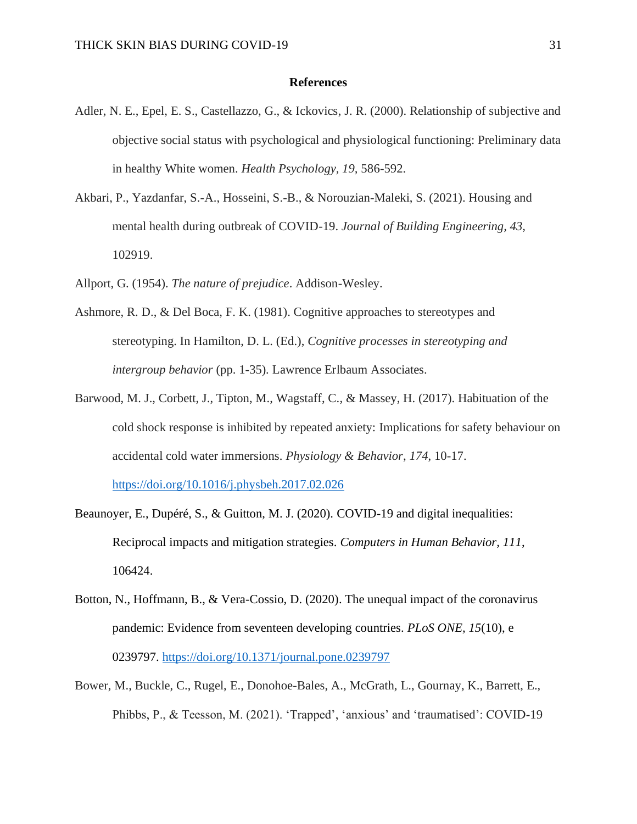#### **References**

- Adler, N. E., Epel, E. S., Castellazzo, G., & Ickovics, J. R. (2000). Relationship of subjective and objective social status with psychological and physiological functioning: Preliminary data in healthy White women. *Health Psychology, 19,* 586-592.
- Akbari, P., Yazdanfar, S.-A., Hosseini, S.-B., & Norouzian-Maleki, S. (2021). Housing and mental health during outbreak of COVID-19. *Journal of Building Engineering, 43,* 102919.
- Allport, G. (1954). *The nature of prejudice*. Addison-Wesley.
- Ashmore, R. D., & Del Boca, F. K. (1981). Cognitive approaches to stereotypes and stereotyping. In Hamilton, D. L. (Ed.), *Cognitive processes in stereotyping and intergroup behavior* (pp. 1-35)*.* Lawrence Erlbaum Associates.
- Barwood, M. J., Corbett, J., Tipton, M., Wagstaff, C., & Massey, H. (2017). Habituation of the cold shock response is inhibited by repeated anxiety: Implications for safety behaviour on accidental cold water immersions. *Physiology & Behavior*, *174*, 10-17. <https://doi.org/10.1016/j.physbeh.2017.02.026>
- Beaunoyer, E., Dupéré, S., & Guitton, M. J. (2020). COVID-19 and digital inequalities: Reciprocal impacts and mitigation strategies. *Computers in Human Behavior, 111*, 106424.
- Botton, N., Hoffmann, B., & Vera-Cossio, D. (2020). The unequal impact of the coronavirus pandemic: Evidence from seventeen developing countries. *PLoS ONE, 15*(10), e 0239797.<https://doi.org/10.1371/journal.pone.0239797>
- Bower, M., Buckle, C., Rugel, E., Donohoe-Bales, A., McGrath, L., Gournay, K., Barrett, E., Phibbs, P., & Teesson, M. (2021). 'Trapped', 'anxious' and 'traumatised': COVID-19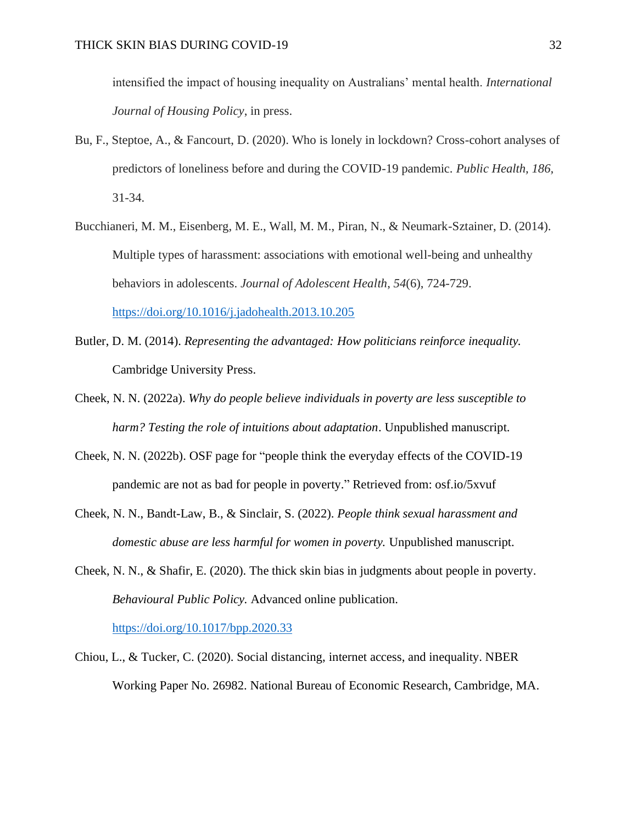intensified the impact of housing inequality on Australians' mental health. *International Journal of Housing Policy*, in press.

- Bu, F., Steptoe, A., & Fancourt, D. (2020). Who is lonely in lockdown? Cross-cohort analyses of predictors of loneliness before and during the COVID-19 pandemic. *Public Health, 186,* 31-34.
- Bucchianeri, M. M., Eisenberg, M. E., Wall, M. M., Piran, N., & Neumark-Sztainer, D. (2014). Multiple types of harassment: associations with emotional well-being and unhealthy behaviors in adolescents. *Journal of Adolescent Health*, *54*(6), 724-729. <https://doi.org/10.1016/j.jadohealth.2013.10.205>
- Butler, D. M. (2014). *Representing the advantaged: How politicians reinforce inequality.* Cambridge University Press.
- Cheek, N. N. (2022a). *Why do people believe individuals in poverty are less susceptible to harm? Testing the role of intuitions about adaptation*. Unpublished manuscript.
- Cheek, N. N. (2022b). OSF page for "people think the everyday effects of the COVID-19 pandemic are not as bad for people in poverty." Retrieved from: osf.io/5xvuf
- Cheek, N. N., Bandt-Law, B., & Sinclair, S. (2022). *People think sexual harassment and domestic abuse are less harmful for women in poverty.* Unpublished manuscript.
- Cheek, N. N., & Shafir, E. (2020). The thick skin bias in judgments about people in poverty. *Behavioural Public Policy.* Advanced online publication. <https://doi.org/10.1017/bpp.2020.33>
- Chiou, L., & Tucker, C. (2020). Social distancing, internet access, and inequality. NBER Working Paper No. 26982. National Bureau of Economic Research, Cambridge, MA.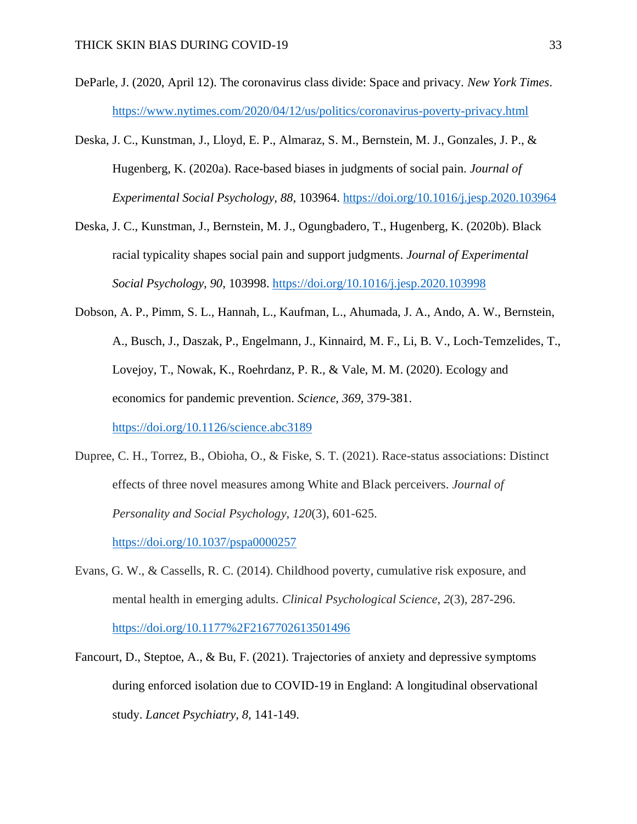- DeParle, J. (2020, April 12). The coronavirus class divide: Space and privacy. *New York Times*. <https://www.nytimes.com/2020/04/12/us/politics/coronavirus-poverty-privacy.html>
- Deska, J. C., Kunstman, J., Lloyd, E. P., Almaraz, S. M., Bernstein, M. J., Gonzales, J. P., & Hugenberg, K. (2020a). Race-based biases in judgments of social pain. *Journal of Experimental Social Psychology, 88,* 103964. <https://doi.org/10.1016/j.jesp.2020.103964>
- Deska, J. C., Kunstman, J., Bernstein, M. J., Ogungbadero, T., Hugenberg, K. (2020b). Black racial typicality shapes social pain and support judgments. *Journal of Experimental Social Psychology, 90*, 103998. <https://doi.org/10.1016/j.jesp.2020.103998>
- Dobson, A. P., Pimm, S. L., Hannah, L., Kaufman, L., Ahumada, J. A., Ando, A. W., Bernstein, A., Busch, J., Daszak, P., Engelmann, J., Kinnaird, M. F., Li, B. V., Loch-Temzelides, T., Lovejoy, T., Nowak, K., Roehrdanz, P. R., & Vale, M. M. (2020). Ecology and economics for pandemic prevention. *Science, 369,* 379-381.

<https://doi.org/10.1126/science.abc3189>

- Dupree, C. H., Torrez, B., Obioha, O., & Fiske, S. T. (2021). Race-status associations: Distinct effects of three novel measures among White and Black perceivers. *Journal of Personality and Social Psychology, 120*(3), 601-625. <https://doi.org/10.1037/pspa0000257>
- Evans, G. W., & Cassells, R. C. (2014). Childhood poverty, cumulative risk exposure, and mental health in emerging adults. *Clinical Psychological Science*, *2*(3), 287-296. <https://doi.org/10.1177%2F2167702613501496>
- Fancourt, D., Steptoe, A., & Bu, F. (2021). Trajectories of anxiety and depressive symptoms during enforced isolation due to COVID-19 in England: A longitudinal observational study. *Lancet Psychiatry, 8,* 141-149.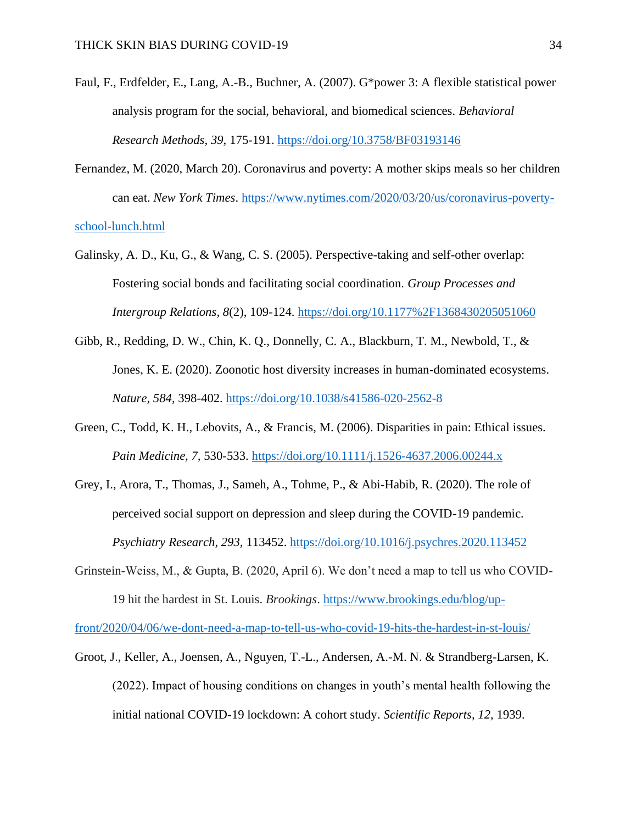- Faul, F., Erdfelder, E., Lang, A.-B., Buchner, A. (2007). G\*power 3: A flexible statistical power analysis program for the social, behavioral, and biomedical sciences. *Behavioral Research Methods, 39,* 175-191. <https://doi.org/10.3758/BF03193146>
- Fernandez, M. (2020, March 20). Coronavirus and poverty: A mother skips meals so her children can eat. *New York Times*. [https://www.nytimes.com/2020/03/20/us/coronavirus-poverty](https://www.nytimes.com/2020/03/20/us/coronavirus-poverty-school-lunch.html)[school-lunch.html](https://www.nytimes.com/2020/03/20/us/coronavirus-poverty-school-lunch.html)
- Galinsky, A. D., Ku, G., & Wang, C. S. (2005). Perspective-taking and self-other overlap: Fostering social bonds and facilitating social coordination. *Group Processes and Intergroup Relations, 8*(2), 109-124.<https://doi.org/10.1177%2F1368430205051060>
- Gibb, R., Redding, D. W., Chin, K. Q., Donnelly, C. A., Blackburn, T. M., Newbold, T., & Jones, K. E. (2020). Zoonotic host diversity increases in human-dominated ecosystems. *Nature, 584,* 398-402. <https://doi.org/10.1038/s41586-020-2562-8>
- Green, C., Todd, K. H., Lebovits, A., & Francis, M. (2006). Disparities in pain: Ethical issues. *Pain Medicine, 7,* 530-533.<https://doi.org/10.1111/j.1526-4637.2006.00244.x>
- Grey, I., Arora, T., Thomas, J., Sameh, A., Tohme, P., & Abi-Habib, R. (2020). The role of perceived social support on depression and sleep during the COVID-19 pandemic. *Psychiatry Research, 293,* 113452.<https://doi.org/10.1016/j.psychres.2020.113452>
- Grinstein-Weiss, M., & Gupta, B. (2020, April 6). We don't need a map to tell us who COVID-19 hit the hardest in St. Louis. *Brookings*. [https://www.brookings.edu/blog/up-](https://www.brookings.edu/blog/up-front/2020/04/06/we-dont-need-a-map-to-tell-us-who-covid-19-hits-the-hardest-in-st-louis/)

[front/2020/04/06/we-dont-need-a-map-to-tell-us-who-covid-19-hits-the-hardest-in-st-louis/](https://www.brookings.edu/blog/up-front/2020/04/06/we-dont-need-a-map-to-tell-us-who-covid-19-hits-the-hardest-in-st-louis/)

Groot, J., Keller, A., Joensen, A., Nguyen, T.-L., Andersen, A.-M. N. & Strandberg-Larsen, K. (2022). Impact of housing conditions on changes in youth's mental health following the initial national COVID-19 lockdown: A cohort study. *Scientific Reports, 12,* 1939.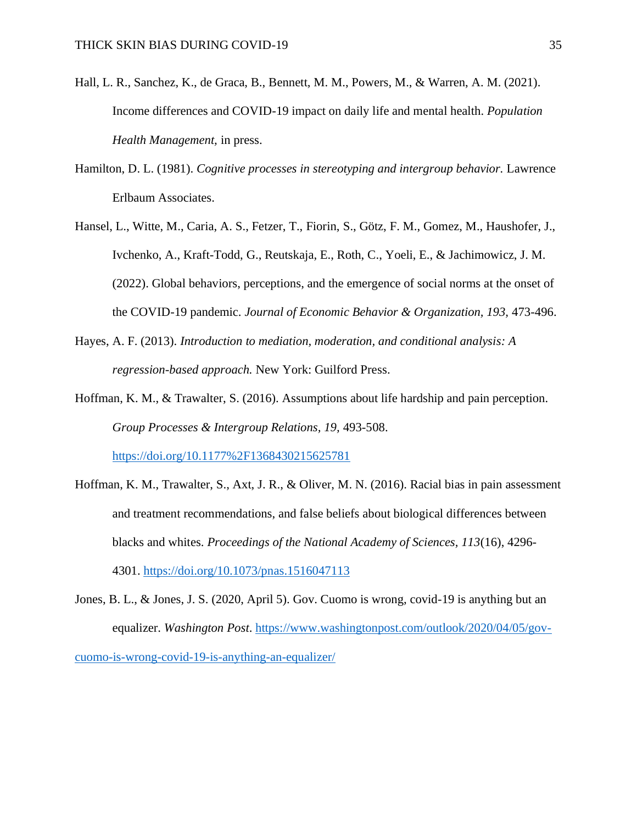- Hall, L. R., Sanchez, K., de Graca, B., Bennett, M. M., Powers, M., & Warren, A. M. (2021). Income differences and COVID-19 impact on daily life and mental health. *Population Health Management,* in press.
- Hamilton, D. L. (1981). *Cognitive processes in stereotyping and intergroup behavior.* Lawrence Erlbaum Associates.
- Hansel, L., Witte, M., Caria, A. S., Fetzer, T., Fiorin, S., Götz, F. M., Gomez, M., Haushofer, J., Ivchenko, A., Kraft-Todd, G., Reutskaja, E., Roth, C., Yoeli, E., & Jachimowicz, J. M. (2022). Global behaviors, perceptions, and the emergence of social norms at the onset of the COVID-19 pandemic. *Journal of Economic Behavior & Organization, 193,* 473-496.
- Hayes, A. F. (2013). *Introduction to mediation, moderation, and conditional analysis: A regression-based approach.* New York: Guilford Press.
- Hoffman, K. M., & Trawalter, S. (2016). Assumptions about life hardship and pain perception. *Group Processes & Intergroup Relations, 19,* 493-508. <https://doi.org/10.1177%2F1368430215625781>
- Hoffman, K. M., Trawalter, S., Axt, J. R., & Oliver, M. N. (2016). Racial bias in pain assessment and treatment recommendations, and false beliefs about biological differences between blacks and whites. *Proceedings of the National Academy of Sciences, 113*(16), 4296- 4301.<https://doi.org/10.1073/pnas.1516047113>
- Jones, B. L., & Jones, J. S. (2020, April 5). Gov. Cuomo is wrong, covid-19 is anything but an equalizer. *Washington Post*. [https://www.washingtonpost.com/outlook/2020/04/05/gov](https://www.washingtonpost.com/outlook/2020/04/05/gov-cuomo-is-wrong-covid-19-is-anything-an-equalizer/)[cuomo-is-wrong-covid-19-is-anything-an-equalizer/](https://www.washingtonpost.com/outlook/2020/04/05/gov-cuomo-is-wrong-covid-19-is-anything-an-equalizer/)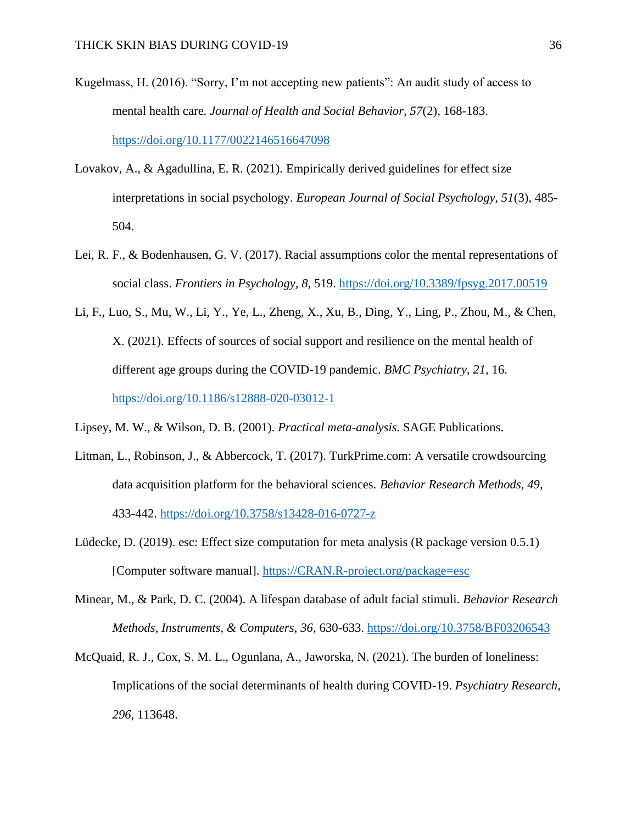- Kugelmass, H. (2016). "Sorry, I'm not accepting new patients": An audit study of access to mental health care. *Journal of Health and Social Behavior, 57*(2)*,* 168-183. <https://doi.org/10.1177/0022146516647098>
- Lovakov, A., & Agadullina, E. R. (2021). Empirically derived guidelines for effect size interpretations in social psychology. *European Journal of Social Psychology, 51*(3), 485- 504.
- Lei, R. F., & Bodenhausen, G. V. (2017). Racial assumptions color the mental representations of social class. *Frontiers in Psychology, 8,* 519.<https://doi.org/10.3389/fpsyg.2017.00519>
- Li, F., Luo, S., Mu, W., Li, Y., Ye, L., Zheng, X., Xu, B., Ding, Y., Ling, P., Zhou, M., & Chen, X. (2021). Effects of sources of social support and resilience on the mental health of different age groups during the COVID-19 pandemic. *BMC Psychiatry, 21,* 16. <https://doi.org/10.1186/s12888-020-03012-1>
- Lipsey, M. W., & Wilson, D. B. (2001). *Practical meta-analysis.* SAGE Publications.
- Litman, L., Robinson, J., & Abbercock, T. (2017). TurkPrime.com: A versatile crowdsourcing data acquisition platform for the behavioral sciences. *Behavior Research Methods, 49,* 433-442. <https://doi.org/10.3758/s13428-016-0727-z>
- Lüdecke, D. (2019). esc: Effect size computation for meta analysis (R package version 0.5.1) [Computer software manual]. [https://CRAN.R-project.org/package=esc](https://cran.r-project.org/package=esc)
- Minear, M., & Park, D. C. (2004). A lifespan database of adult facial stimuli. *Behavior Research Methods, Instruments, & Computers, 36,* 630-633. <https://doi.org/10.3758/BF03206543>
- McQuaid, R. J., Cox, S. M. L., Ogunlana, A., Jaworska, N. (2021). The burden of loneliness: Implications of the social determinants of health during COVID-19. *Psychiatry Research, 296*, 113648.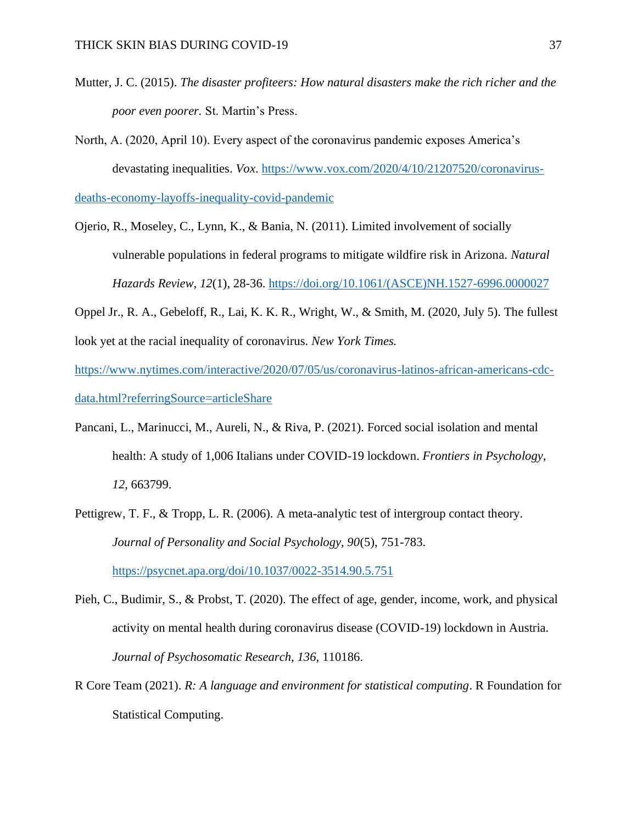- Mutter, J. C. (2015). *The disaster profiteers: How natural disasters make the rich richer and the poor even poorer.* St. Martin's Press.
- North, A. (2020, April 10). Every aspect of the coronavirus pandemic exposes America's devastating inequalities. *Vox*. [https://www.vox.com/2020/4/10/21207520/coronavirus-](https://www.vox.com/2020/4/10/21207520/coronavirus-deaths-economy-layoffs-inequality-covid-pandemic)

[deaths-economy-layoffs-inequality-covid-pandemic](https://www.vox.com/2020/4/10/21207520/coronavirus-deaths-economy-layoffs-inequality-covid-pandemic)

- Ojerio, R., Moseley, C., Lynn, K., & Bania, N. (2011). Limited involvement of socially vulnerable populations in federal programs to mitigate wildfire risk in Arizona. *Natural Hazards Review, 12*(1), 28-36. [https://doi.org/10.1061/\(ASCE\)NH.1527-6996.0000027](https://doi.org/10.1061/(ASCE)NH.1527-6996.0000027)
- Oppel Jr., R. A., Gebeloff, R., Lai, K. K. R., Wright, W., & Smith, M. (2020, July 5). The fullest look yet at the racial inequality of coronavirus. *New York Times.*

[https://www.nytimes.com/interactive/2020/07/05/us/coronavirus-latinos-african-americans-cdc](https://www.nytimes.com/interactive/2020/07/05/us/coronavirus-latinos-african-americans-cdc-data.html?referringSource=articleShare)[data.html?referringSource=articleShare](https://www.nytimes.com/interactive/2020/07/05/us/coronavirus-latinos-african-americans-cdc-data.html?referringSource=articleShare)

- Pancani, L., Marinucci, M., Aureli, N., & Riva, P. (2021). Forced social isolation and mental health: A study of 1,006 Italians under COVID-19 lockdown. *Frontiers in Psychology, 12*, 663799.
- Pettigrew, T. F., & Tropp, L. R. (2006). A meta-analytic test of intergroup contact theory. *Journal of Personality and Social Psychology, 90*(5), 751-783. <https://psycnet.apa.org/doi/10.1037/0022-3514.90.5.751>
- Pieh, C., Budimir, S., & Probst, T. (2020). The effect of age, gender, income, work, and physical activity on mental health during coronavirus disease (COVID-19) lockdown in Austria. *Journal of Psychosomatic Research, 136,* 110186.
- R Core Team (2021). *R: A language and environment for statistical computing*. R Foundation for Statistical Computing.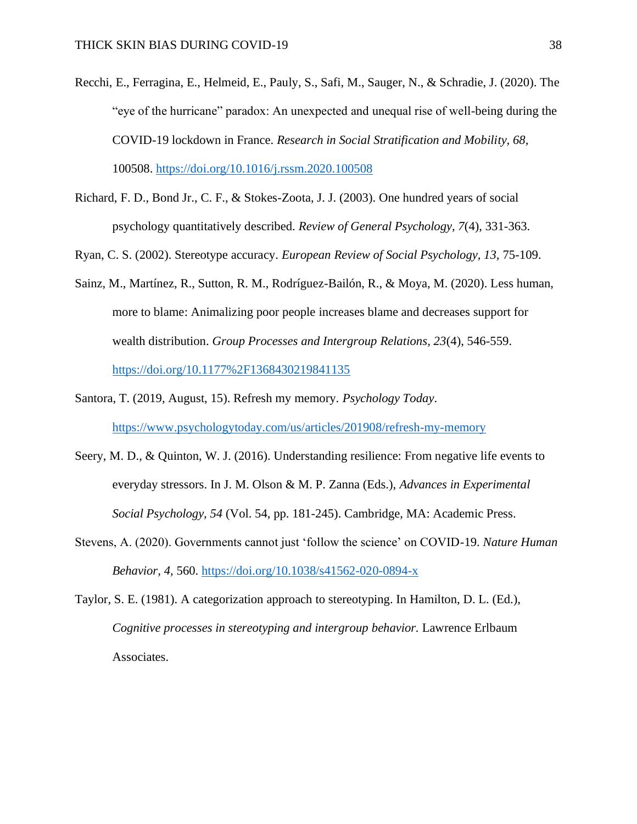- Recchi, E., Ferragina, E., Helmeid, E., Pauly, S., Safi, M., Sauger, N., & Schradie, J. (2020). The "eye of the hurricane" paradox: An unexpected and unequal rise of well-being during the COVID-19 lockdown in France. *Research in Social Stratification and Mobility, 68,*  100508.<https://doi.org/10.1016/j.rssm.2020.100508>
- Richard, F. D., Bond Jr., C. F., & Stokes-Zoota, J. J. (2003). One hundred years of social psychology quantitatively described. *Review of General Psychology, 7*(4), 331-363.
- Ryan, C. S. (2002). Stereotype accuracy. *European Review of Social Psychology, 13,* 75-109.
- Sainz, M., Martínez, R., Sutton, R. M., Rodríguez-Bailón, R., & Moya, M. (2020). Less human, more to blame: Animalizing poor people increases blame and decreases support for wealth distribution. *Group Processes and Intergroup Relations, 23*(4), 546-559. <https://doi.org/10.1177%2F1368430219841135>
- Santora, T. (2019, August, 15). Refresh my memory. *Psychology Today*. <https://www.psychologytoday.com/us/articles/201908/refresh-my-memory>
- Seery, M. D., & Quinton, W. J. (2016). Understanding resilience: From negative life events to everyday stressors. In J. M. Olson & M. P. Zanna (Eds.), *Advances in Experimental Social Psychology, 54* (Vol. 54, pp. 181-245). Cambridge, MA: Academic Press.
- Stevens, A. (2020). Governments cannot just 'follow the science' on COVID-19. *Nature Human Behavior, 4,* 560. <https://doi.org/10.1038/s41562-020-0894-x>
- Taylor, S. E. (1981). A categorization approach to stereotyping. In Hamilton, D. L. (Ed.), *Cognitive processes in stereotyping and intergroup behavior.* Lawrence Erlbaum Associates.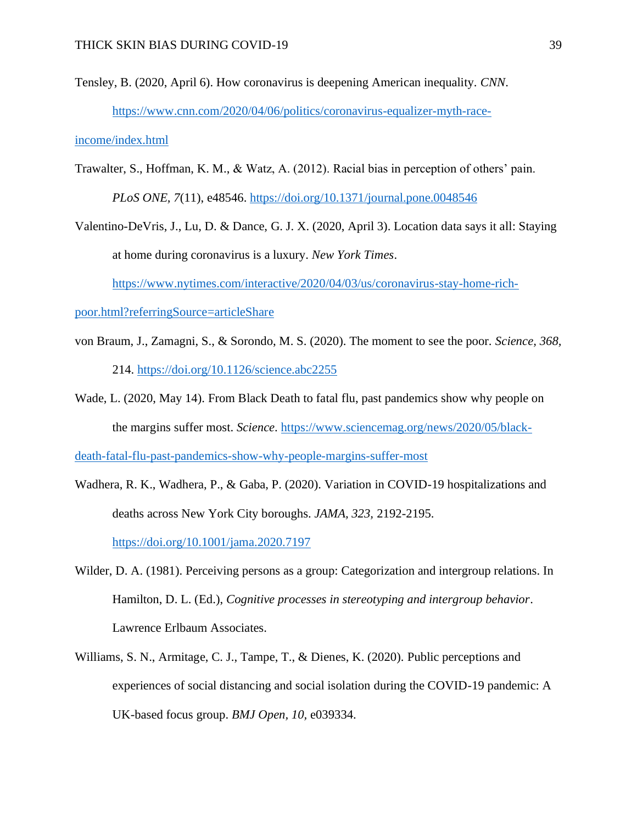Tensley, B. (2020, April 6). How coronavirus is deepening American inequality. *CNN*. [https://www.cnn.com/2020/04/06/politics/coronavirus-equalizer-myth-race-](https://www.cnn.com/2020/04/06/politics/coronavirus-equalizer-myth-race-income/index.html)

[income/index.html](https://www.cnn.com/2020/04/06/politics/coronavirus-equalizer-myth-race-income/index.html)

Trawalter, S., Hoffman, K. M., & Watz, A. (2012). Racial bias in perception of others' pain. *PLoS ONE, 7*(11), e48546.<https://doi.org/10.1371/journal.pone.0048546>

Valentino-DeVris, J., Lu, D. & Dance, G. J. X. (2020, April 3). Location data says it all: Staying at home during coronavirus is a luxury. *New York Times*.

[https://www.nytimes.com/interactive/2020/04/03/us/coronavirus-stay-home-rich-](https://www.nytimes.com/interactive/2020/04/03/us/coronavirus-stay-home-rich-poor.html?referringSource=articleShare)

[poor.html?referringSource=articleShare](https://www.nytimes.com/interactive/2020/04/03/us/coronavirus-stay-home-rich-poor.html?referringSource=articleShare)

- von Braum, J., Zamagni, S., & Sorondo, M. S. (2020). The moment to see the poor. *Science, 368,*  214. <https://doi.org/10.1126/science.abc2255>
- Wade, L. (2020, May 14). From Black Death to fatal flu, past pandemics show why people on the margins suffer most. *Science*. [https://www.sciencemag.org/news/2020/05/black-](https://www.sciencemag.org/news/2020/05/black-death-fatal-flu-past-pandemics-show-why-people-margins-suffer-most)

[death-fatal-flu-past-pandemics-show-why-people-margins-suffer-most](https://www.sciencemag.org/news/2020/05/black-death-fatal-flu-past-pandemics-show-why-people-margins-suffer-most)

- Wadhera, R. K., Wadhera, P., & Gaba, P. (2020). Variation in COVID-19 hospitalizations and deaths across New York City boroughs. *JAMA, 323,* 2192-2195. <https://doi.org/10.1001/jama.2020.7197>
- Wilder, D. A. (1981). Perceiving persons as a group: Categorization and intergroup relations. In Hamilton, D. L. (Ed.), *Cognitive processes in stereotyping and intergroup behavior*. Lawrence Erlbaum Associates.
- Williams, S. N., Armitage, C. J., Tampe, T., & Dienes, K. (2020). Public perceptions and experiences of social distancing and social isolation during the COVID-19 pandemic: A UK-based focus group. *BMJ Open, 10,* e039334.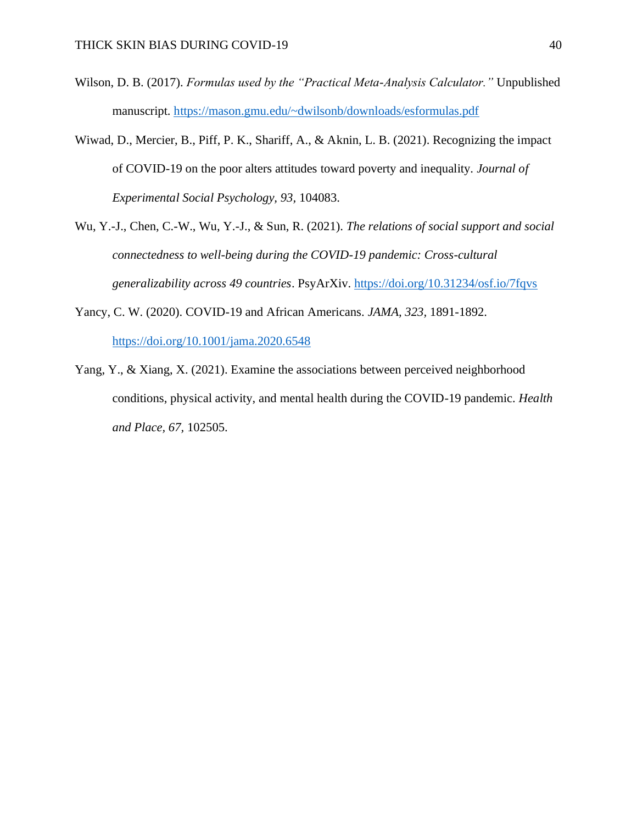- Wilson, D. B. (2017). *Formulas used by the "Practical Meta-Analysis Calculator."* Unpublished manuscript.<https://mason.gmu.edu/~dwilsonb/downloads/esformulas.pdf>
- Wiwad, D., Mercier, B., Piff, P. K., Shariff, A., & Aknin, L. B. (2021). Recognizing the impact of COVID-19 on the poor alters attitudes toward poverty and inequality. *Journal of Experimental Social Psychology, 93,* 104083.
- Wu, Y.-J., Chen, C.-W., Wu, Y.-J., & Sun, R. (2021). *The relations of social support and social connectedness to well-being during the COVID-19 pandemic: Cross-cultural generalizability across 49 countries*. PsyArXiv.<https://doi.org/10.31234/osf.io/7fqvs>
- Yancy, C. W. (2020). COVID-19 and African Americans. *JAMA, 323,* 1891-1892. <https://doi.org/10.1001/jama.2020.6548>
- Yang, Y., & Xiang, X. (2021). Examine the associations between perceived neighborhood conditions, physical activity, and mental health during the COVID-19 pandemic. *Health and Place, 67,* 102505.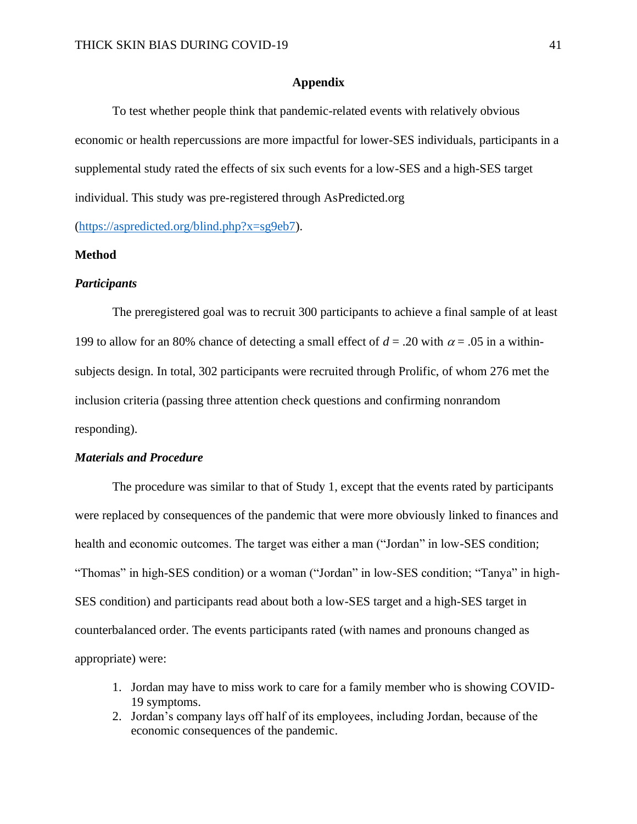### **Appendix**

To test whether people think that pandemic-related events with relatively obvious economic or health repercussions are more impactful for lower-SES individuals, participants in a supplemental study rated the effects of six such events for a low-SES and a high-SES target individual. This study was pre-registered through AsPredicted.org

[\(https://aspredicted.org/blind.php?x=sg9eb7\)](https://aspredicted.org/blind.php?x=sg9eb7).

### **Method**

### *Participants*

The preregistered goal was to recruit 300 participants to achieve a final sample of at least 199 to allow for an 80% chance of detecting a small effect of  $d = .20$  with  $\alpha = .05$  in a withinsubjects design. In total, 302 participants were recruited through Prolific, of whom 276 met the inclusion criteria (passing three attention check questions and confirming nonrandom responding).

### *Materials and Procedure*

The procedure was similar to that of Study 1, except that the events rated by participants were replaced by consequences of the pandemic that were more obviously linked to finances and health and economic outcomes. The target was either a man ("Jordan" in low-SES condition; "Thomas" in high-SES condition) or a woman ("Jordan" in low-SES condition; "Tanya" in high-SES condition) and participants read about both a low-SES target and a high-SES target in counterbalanced order. The events participants rated (with names and pronouns changed as appropriate) were:

- 1. Jordan may have to miss work to care for a family member who is showing COVID-19 symptoms.
- 2. Jordan's company lays off half of its employees, including Jordan, because of the economic consequences of the pandemic.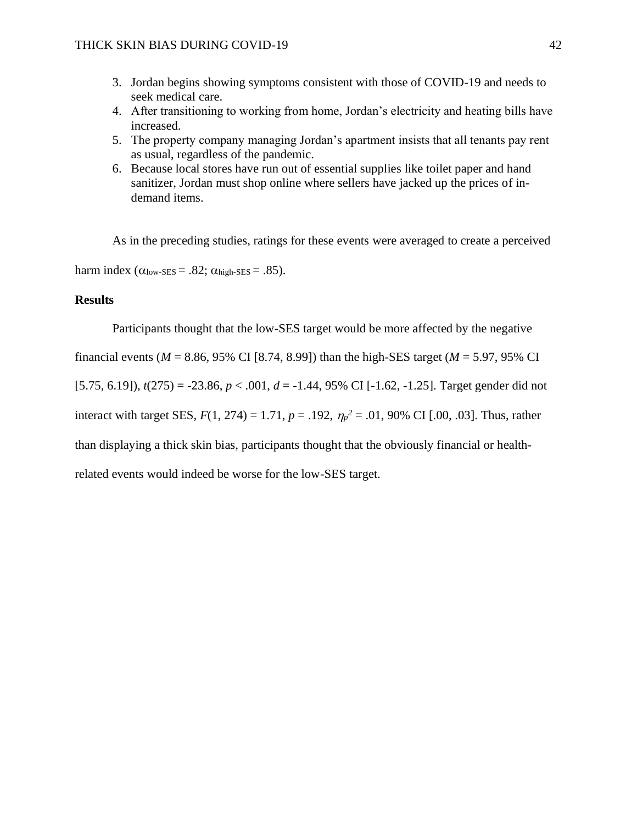- 3. Jordan begins showing symptoms consistent with those of COVID-19 and needs to seek medical care.
- 4. After transitioning to working from home, Jordan's electricity and heating bills have increased.
- 5. The property company managing Jordan's apartment insists that all tenants pay rent as usual, regardless of the pandemic.
- 6. Because local stores have run out of essential supplies like toilet paper and hand sanitizer, Jordan must shop online where sellers have jacked up the prices of indemand items.

As in the preceding studies, ratings for these events were averaged to create a perceived harm index  $(\alpha_{\text{low-SES}} = .82; \alpha_{\text{high-SES}} = .85)$ .

### **Results**

Participants thought that the low-SES target would be more affected by the negative

financial events ( $M = 8.86$ , 95% CI [8.74, 8.99]) than the high-SES target ( $M = 5.97$ , 95% CI [5.75, 6.19]), *t*(275) = -23.86, *p* < .001, *d* = -1.44, 95% CI [-1.62, -1.25]. Target gender did not interact with target SES,  $F(1, 274) = 1.71$ ,  $p = .192$ ,  $\eta_p^2 = .01$ , 90% CI [.00, .03]. Thus, rather than displaying a thick skin bias, participants thought that the obviously financial or healthrelated events would indeed be worse for the low-SES target.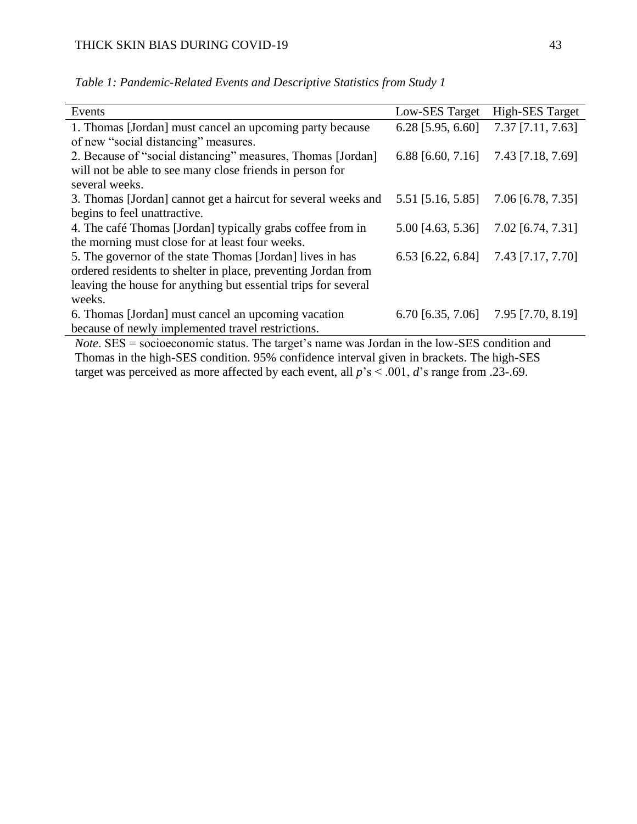| Events                                                                                               | Low-SES Target      | <b>High-SES Target</b> |
|------------------------------------------------------------------------------------------------------|---------------------|------------------------|
| 1. Thomas [Jordan] must cancel an upcoming party because                                             | $6.28$ [5.95, 6.60] | $7.37$ [7.11, 7.63]    |
| of new "social distancing" measures.                                                                 |                     |                        |
| 2. Because of "social distancing" measures, Thomas [Jordan]                                          | $6.88$ [6.60, 7.16] | 7.43 [7.18, 7.69]      |
| will not be able to see many close friends in person for                                             |                     |                        |
| several weeks.                                                                                       |                     |                        |
| 3. Thomas [Jordan] cannot get a haircut for several weeks and                                        | 5.51 [5.16, 5.85]   | 7.06 [6.78, 7.35]      |
| begins to feel unattractive.                                                                         |                     |                        |
| 4. The café Thomas [Jordan] typically grabs coffee from in                                           | 5.00 [4.63, 5.36]   | 7.02 [6.74, 7.31]      |
| the morning must close for at least four weeks.                                                      |                     |                        |
| 5. The governor of the state Thomas [Jordan] lives in has                                            | $6.53$ [6.22, 6.84] | 7.43 [7.17, 7.70]      |
| ordered residents to shelter in place, preventing Jordan from                                        |                     |                        |
| leaving the house for anything but essential trips for several                                       |                     |                        |
| weeks.                                                                                               |                     |                        |
| 6. Thomas [Jordan] must cancel an upcoming vacation                                                  | $6.70$ [6.35, 7.06] | 7.95 [7.70, 8.19]      |
| because of newly implemented travel restrictions.                                                    |                     |                        |
| <i>Note.</i> $SES$ = socioeconomic status. The target's name was Jordan in the low-SES condition and |                     |                        |

*Table 1: Pandemic-Related Events and Descriptive Statistics from Study 1*

*Note*. SES = socioeconomic status. The target's name was Jordan in the low-SES condition and Thomas in the high-SES condition. 95% confidence interval given in brackets. The high-SES target was perceived as more affected by each event, all  $p$ 's < .001, *d*'s range from .23-.69.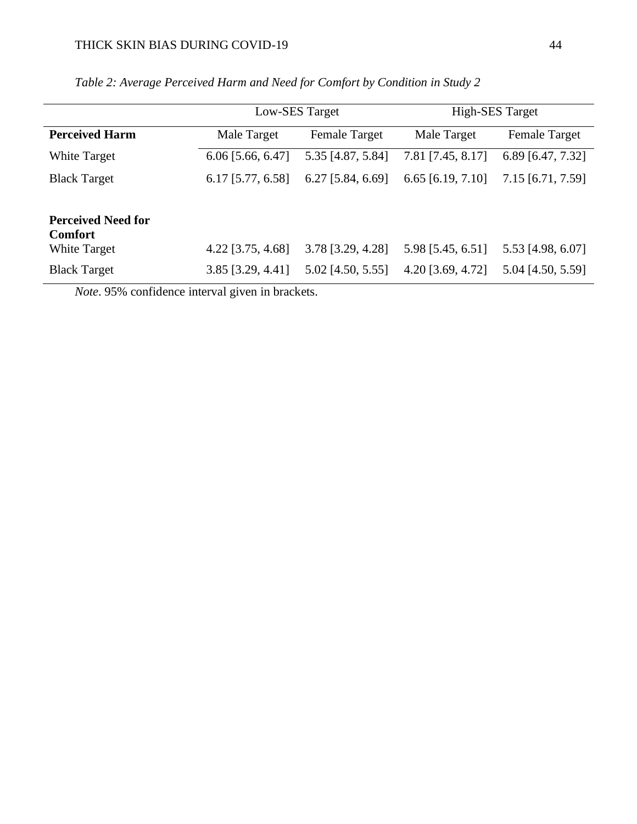|                           | Low-SES Target      |                      | <b>High-SES Target</b> |                      |
|---------------------------|---------------------|----------------------|------------------------|----------------------|
| <b>Perceived Harm</b>     | Male Target         | <b>Female Target</b> | Male Target            | <b>Female Target</b> |
| White Target              | 6.06 [5.66, 6.47]   | 5.35 [4.87, 5.84]    | 7.81 [7.45, 8.17]      | 6.89 [6.47, 7.32]    |
| <b>Black Target</b>       | $6.17$ [5.77, 6.58] | $6.27$ [5.84, 6.69]  | $6.65$ [6.19, 7.10]    | 7.15 [6.71, 7.59]    |
|                           |                     |                      |                        |                      |
| <b>Perceived Need for</b> |                     |                      |                        |                      |
| <b>Comfort</b>            |                     |                      |                        |                      |
| <b>White Target</b>       | $4.22$ [3.75, 4.68] | 3.78 [3.29, 4.28]    | 5.98 [5.45, 6.51]      | 5.53 [4.98, 6.07]    |
| <b>Black Target</b>       | 3.85 [3.29, 4.41]   | 5.02 [4.50, 5.55]    | 4.20 [3.69, 4.72]      | 5.04 [4.50, 5.59]    |

# *Table 2: Average Perceived Harm and Need for Comfort by Condition in Study 2*

*Note*. 95% confidence interval given in brackets.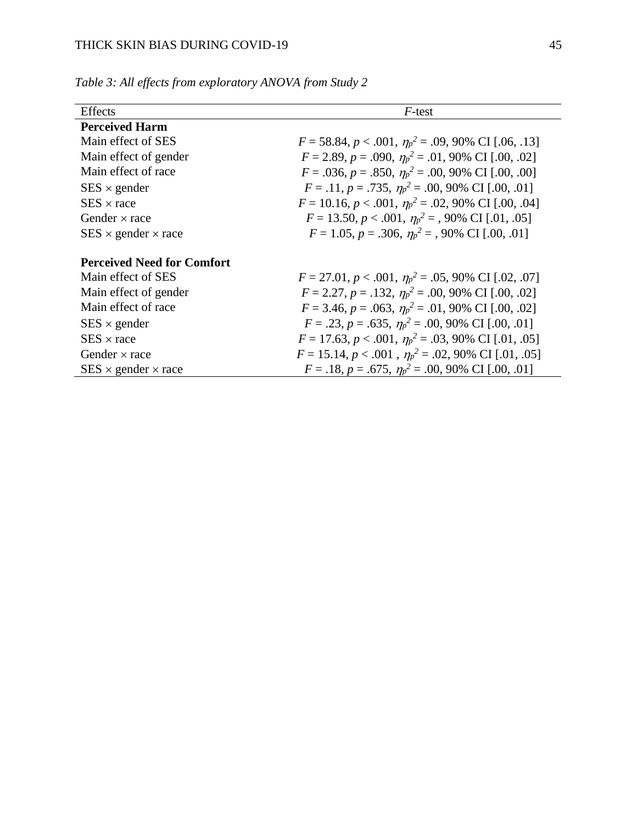| Effects                           | F-test                                                            |
|-----------------------------------|-------------------------------------------------------------------|
| <b>Perceived Harm</b>             |                                                                   |
| Main effect of SES                | $F = 58.84, p < .001, \eta_p^2 = .09, 90\% \text{ CI}$ [.06, .13] |
| Main effect of gender             | $F = 2.89$ , $p = .090$ , $\eta_p^2 = .01$ , 90% CI [.00, .02]    |
| Main effect of race               | $F = .036, p = .850, \eta_p^2 = .00, 90\% \text{ CI}$ [.00, .00]  |
| $SES \times gender$               | $F = .11, p = .735, \eta_p^2 = .00, 90\% \text{ CI} [.00, .01]$   |
| $SES \times race$                 | $F = 10.16, p < .001, \eta_p^2 = .02, 90\% \text{ CI}$ [.00, .04] |
| Gender $\times$ race              | $F = 13.50, p < .001, \eta_p^2 = .90\% \text{ CI}$ [.01, .05]     |
| $SES \times gender \times race$   | $F = 1.05$ , $p = .306$ , $\eta_p^2 = .90\%$ CI [.00, .01]        |
|                                   |                                                                   |
| <b>Perceived Need for Comfort</b> |                                                                   |
| Main effect of SES                | $F = 27.01, p < .001, \eta_p^2 = .05, 90\% \text{ CI}$ [.02, .07] |
| Main effect of gender             | $F = 2.27$ , $p = .132$ , $\eta_p^2 = .00$ , 90% CI [.00, .02]    |
| Main effect of race               | $F = 3.46, p = .063, \eta_p^2 = .01,90\% \text{ CI}$ [.00, .02]   |
| $SES \times gender$               | $F = .23$ , $p = .635$ , $\eta_p^2 = .00$ , 90% CI [.00, .01]     |
| $SES \times race$                 | $F = 17.63, p < .001, \eta_p^2 = .03, 90\% \text{ CI} [.01, .05]$ |
| Gender $\times$ race              | $F = 15.14, p < .001, \eta_p^2 = .02, 90\% \text{ CI} [.01, .05]$ |
| $SES \times gender \times race$   | $F = .18$ , $p = .675$ , $\eta_p^2 = .00$ , 90% CI [.00, .01]     |

*Table 3: All effects from exploratory ANOVA from Study 2*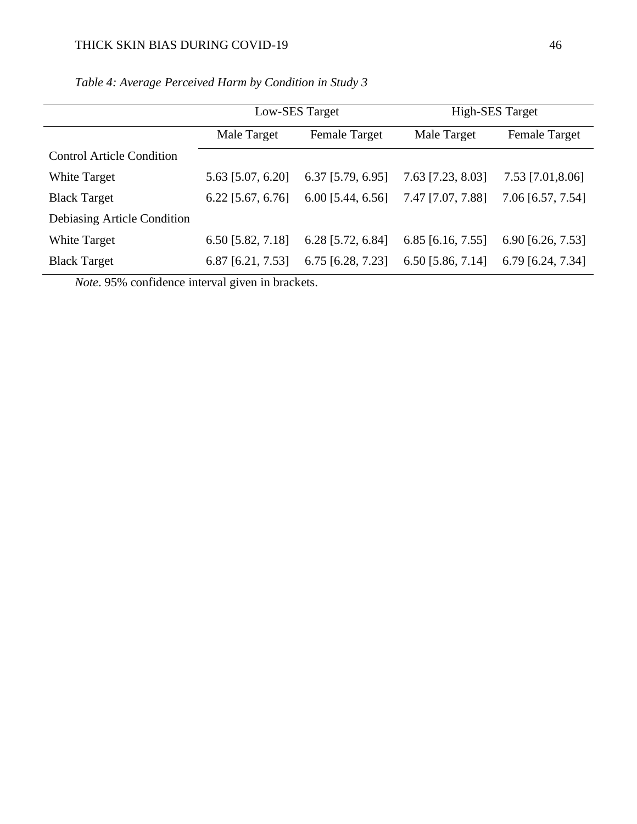|                                  | Low-SES Target      |                      | High-SES Target     |                      |
|----------------------------------|---------------------|----------------------|---------------------|----------------------|
|                                  | Male Target         | <b>Female Target</b> | Male Target         | <b>Female Target</b> |
| <b>Control Article Condition</b> |                     |                      |                     |                      |
| <b>White Target</b>              | 5.63 [5.07, 6.20]   | $6.37$ [5.79, 6.95]  | 7.63 [7.23, 8.03]   | 7.53 [7.01,8.06]     |
| <b>Black Target</b>              | $6.22$ [5.67, 6.76] | $6.00$ [5.44, 6.56]  | 7.47 [7.07, 7.88]   | 7.06 [6.57, 7.54]    |
| Debiasing Article Condition      |                     |                      |                     |                      |
| <b>White Target</b>              | 6.50 [5.82, 7.18]   | $6.28$ [5.72, 6.84]  | $6.85$ [6.16, 7.55] | $6.90$ [6.26, 7.53]  |
| <b>Black Target</b>              | $6.87$ [6.21, 7.53] | $6.75$ [6.28, 7.23]  | $6.50$ [5.86, 7.14] | 6.79 [6.24, 7.34]    |

*Table 4: Average Perceived Harm by Condition in Study 3*

*Note*. 95% confidence interval given in brackets.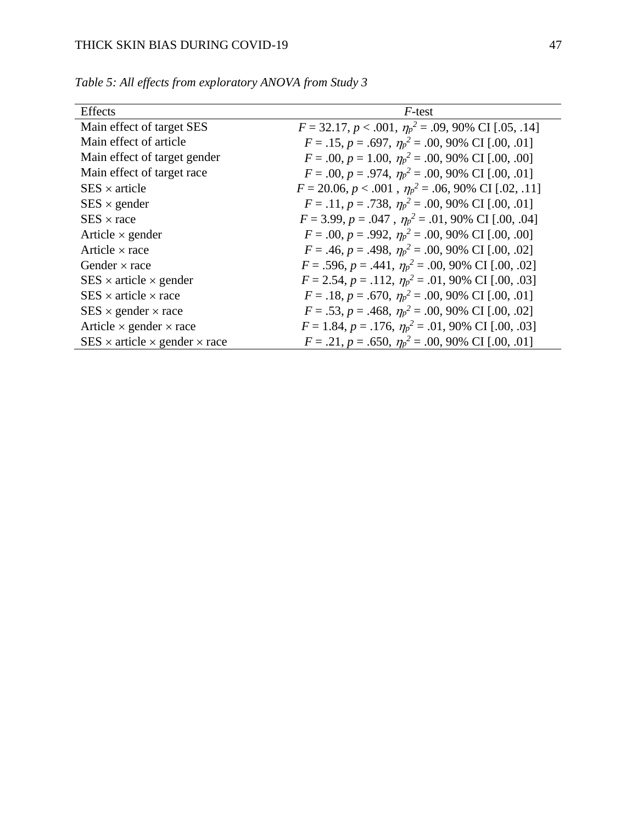| <b>Effects</b>                                 | F-test                                                            |
|------------------------------------------------|-------------------------------------------------------------------|
| Main effect of target SES                      | $F = 32.17, p < .001, \eta_p^2 = .09, 90\% \text{ CI}$ [.05, .14] |
| Main effect of article                         | $F = .15$ , $p = .697$ , $\eta_p^2 = .00$ , 90% CI [.00, .01]     |
| Main effect of target gender                   | $F = .00, p = 1.00, \eta_p^2 = .00, 90\% \text{ CI} [.00, .00]$   |
| Main effect of target race                     | $F = .00, p = .974, \eta_p^2 = .00, 90\% \text{ CI}$ [.00, .01]   |
| $SES \times article$                           | $F = 20.06, p < .001, \eta_p^2 = .06, 90\% \text{ CI}$ [.02, .11] |
| $SES \times gender$                            | $F = .11, p = .738, \eta_p^2 = .00, 90\% \text{ CI}$ [.00, .01]   |
| $SES \times race$                              | $F = 3.99, p = .047, \eta_p^2 = .01,90\% \text{ CI} [.00, .04]$   |
| Article $\times$ gender                        | $F = .00, p = .992, \eta_p^2 = .00, 90\% \text{ CI} [.00, .00]$   |
| Article $\times$ race                          | $F = .46, p = .498, \eta_p^2 = .00, 90\% \text{ CI} [.00, .02]$   |
| Gender $\times$ race                           | $F = .596, p = .441, \eta_p^2 = .00, 90\% \text{ CI}$ [.00, .02]  |
| $SES \times article \times gender$             | $F = 2.54$ , $p = .112$ , $\eta_p^2 = .01$ , 90% CI [.00, .03]    |
| $SES \times article \times race$               | $F = .18$ , $p = .670$ , $\eta_p^2 = .00$ , 90% CI [.00, .01]     |
| $SES \times gender \times race$                | $F = .53, p = .468, \eta_p^2 = .00, 90\% \text{ CI}$ [.00, .02]   |
| Article $\times$ gender $\times$ race          | $F = 1.84$ , $p = .176$ , $\eta_p^2 = .01$ , 90% CI [.00, .03]    |
| $SES \times article \times gender \times race$ | $F = .21, p = .650, \eta_p^2 = .00, 90\% \text{ CI} [.00, .01]$   |

*Table 5: All effects from exploratory ANOVA from Study 3*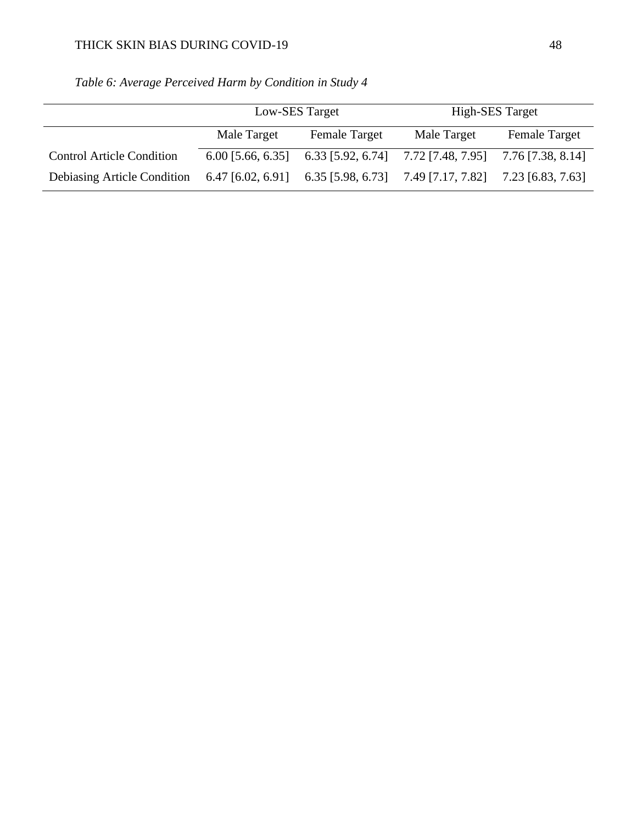|                                                                 | Low-SES Target |                                         | <b>High-SES Target</b>              |                      |
|-----------------------------------------------------------------|----------------|-----------------------------------------|-------------------------------------|----------------------|
|                                                                 | Male Target    | <b>Female Target</b>                    | Male Target                         | <b>Female Target</b> |
| <b>Control Article Condition</b>                                |                | $6.00$ [5.66, 6.35] $6.33$ [5.92, 6.74] | 7.72 [7.48, 7.95] 7.76 [7.38, 8.14] |                      |
| Debiasing Article Condition 6.47 [6.02, 6.91] 6.35 [5.98, 6.73] |                |                                         | 7.49 [7.17, 7.82]                   | 7.23 [6.83, 7.63]    |

*Table 6: Average Perceived Harm by Condition in Study 4*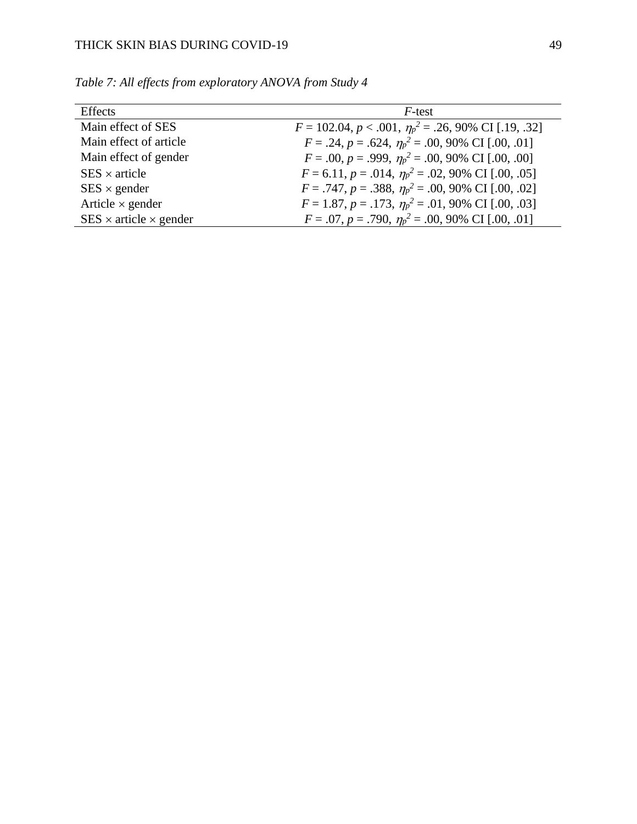| <b>Effects</b>                     | $F$ -test                                                          |
|------------------------------------|--------------------------------------------------------------------|
| Main effect of SES                 | $F = 102.04, p < .001, \eta_p^2 = .26, 90\% \text{ CI}$ [.19, .32] |
| Main effect of article             | $F = .24$ , $p = .624$ , $\eta_p^2 = .00$ , 90% CI [.00, .01]      |
| Main effect of gender              | $F = .00, p = .999, \eta_p^2 = .00, 90\% \text{ CI} [.00, .00]$    |
| $SES \times article$               | $F = 6.11$ , $p = .014$ , $\eta_p^2 = .02$ , 90% CI [.00, .05]     |
| $SES \times gender$                | $F = .747, p = .388, \eta_p^2 = .00, 90\% \text{ CI} [.00, .02]$   |
| Article $\times$ gender            | $F = 1.87, p = .173, \eta_p^2 = .01,90\% \text{ CI} [.00, .03]$    |
| $SES \times article \times gender$ | $F = .07, p = .790, \eta_p^2 = .00, 90\% \text{ CI} [.00, .01]$    |

*Table 7: All effects from exploratory ANOVA from Study 4*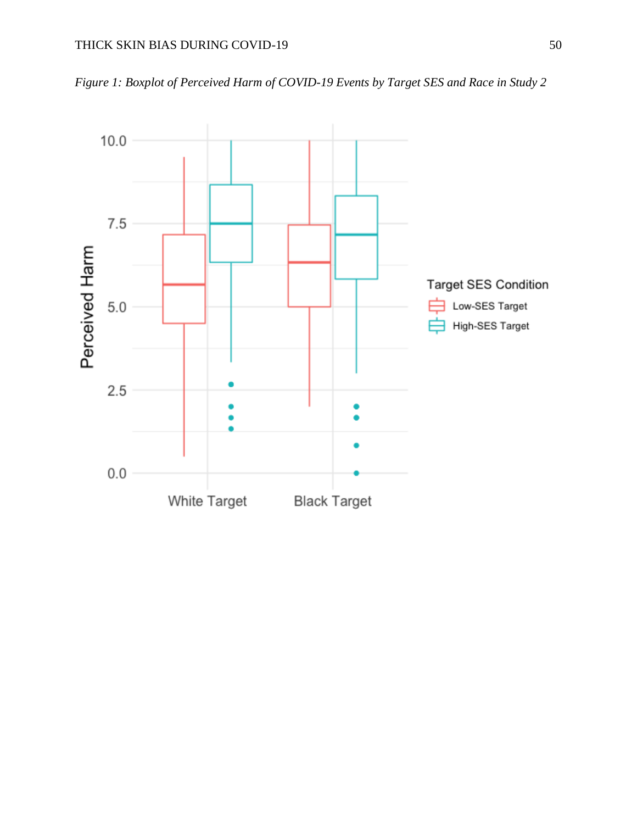*Figure 1: Boxplot of Perceived Harm of COVID-19 Events by Target SES and Race in Study 2*

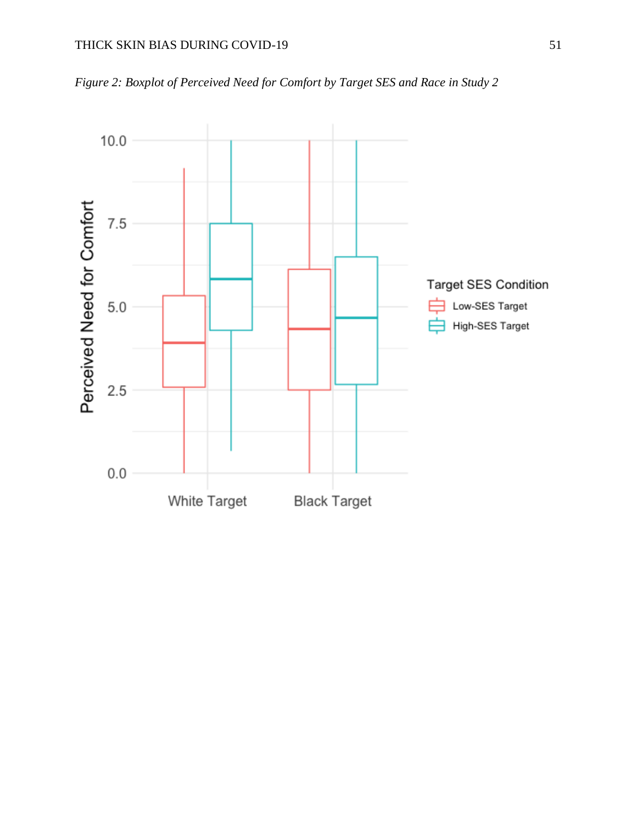

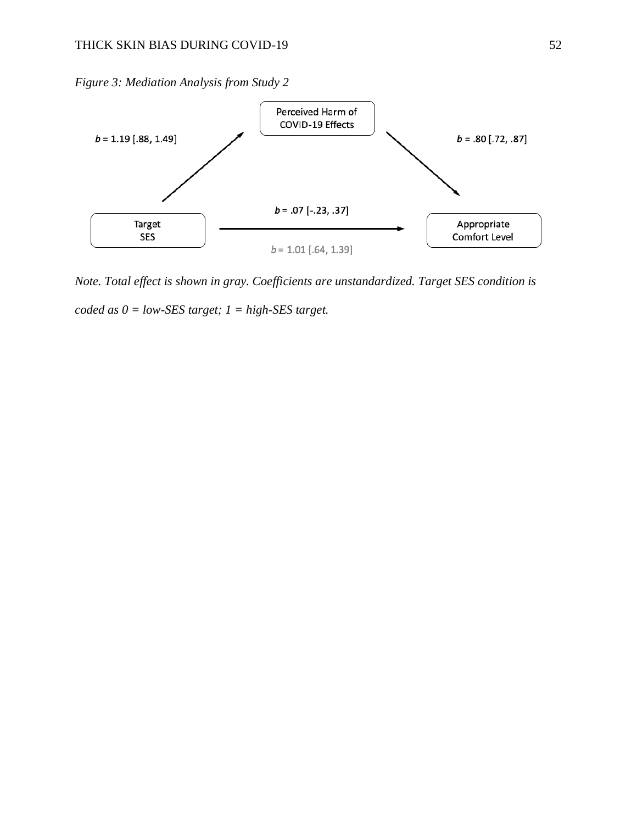*Figure 3: Mediation Analysis from Study 2*



*Note. Total effect is shown in gray. Coefficients are unstandardized. Target SES condition is coded as 0 = low-SES target; 1 = high-SES target.*